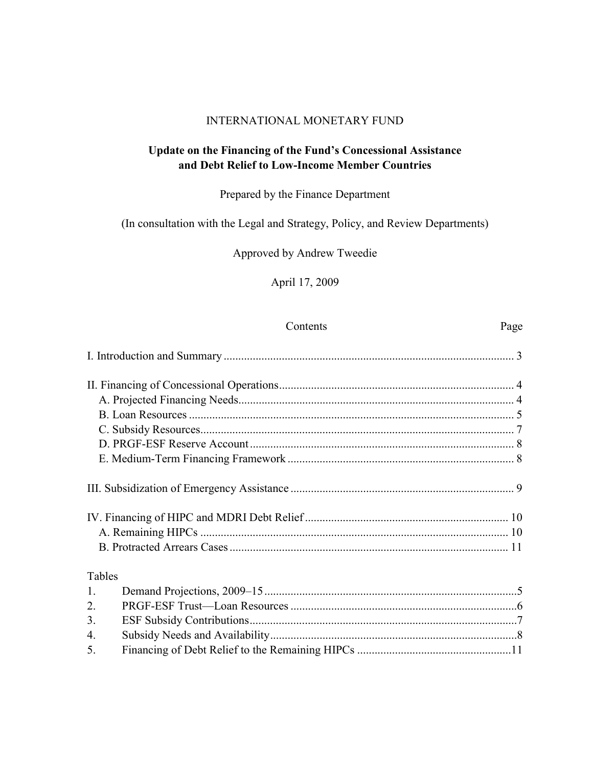## INTERNATIONAL MONETARY FUND

## **Update on the Financing of the Fund's Concessional Assistance and Debt Relief to Low-Income Member Countries**

## Prepared by the Finance Department

## (In consultation with the Legal and Strategy, Policy, and Review Departments)

## Approved by Andrew Tweedie

## April 17, 2009

#### Contents Page

| Tables         |  |
|----------------|--|
| $\mathbf{1}$ . |  |
| 2.             |  |
| 3.             |  |
| 4.             |  |
| 5.             |  |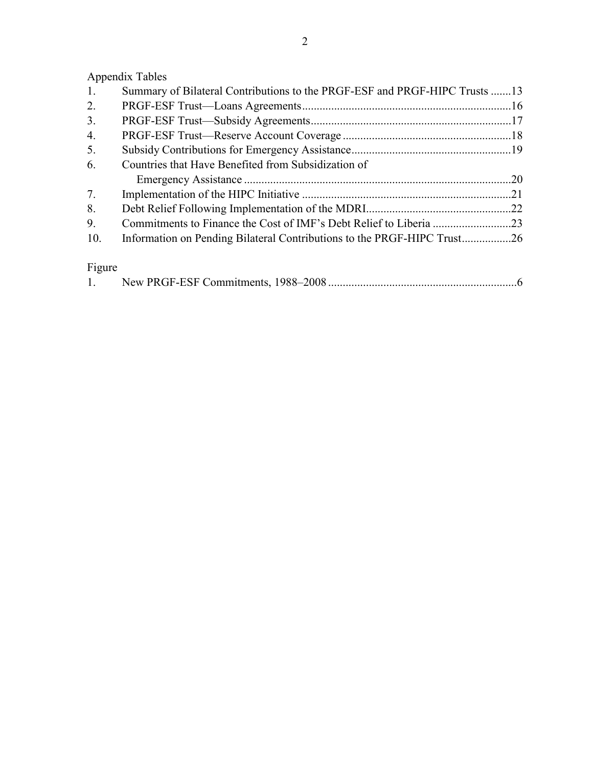Appendix Tables

| 1.     | Summary of Bilateral Contributions to the PRGF-ESF and PRGF-HIPC Trusts 13 |  |
|--------|----------------------------------------------------------------------------|--|
| 2.     |                                                                            |  |
| 3.     |                                                                            |  |
| 4.     |                                                                            |  |
| 5.     |                                                                            |  |
| 6.     | Countries that Have Benefited from Subsidization of                        |  |
|        |                                                                            |  |
| 7.     |                                                                            |  |
| 8.     |                                                                            |  |
| 9.     |                                                                            |  |
| 10.    | Information on Pending Bilateral Contributions to the PRGF-HIPC Trust26    |  |
|        |                                                                            |  |
| Figure |                                                                            |  |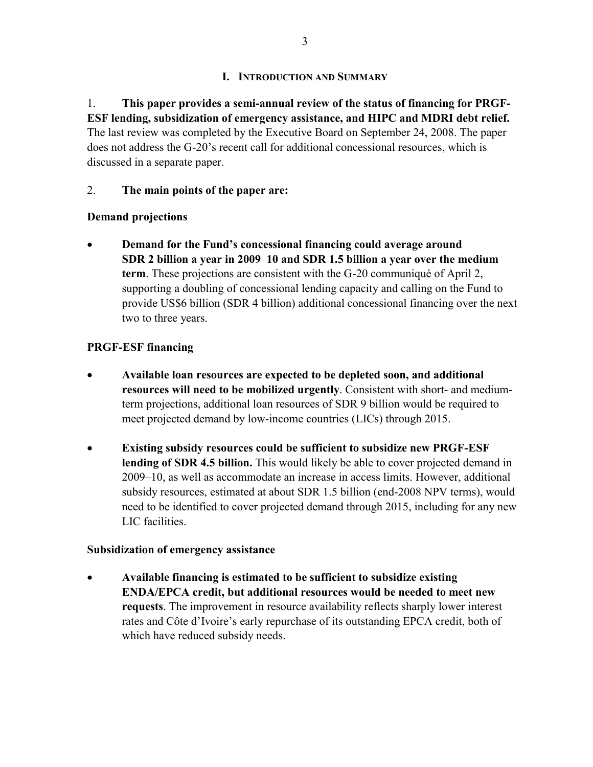## **I. INTRODUCTION AND SUMMARY**

1. **This paper provides a semi-annual review of the status of financing for PRGF-ESF lending, subsidization of emergency assistance, and HIPC and MDRI debt relief.**  The last review was completed by the Executive Board on September 24, 2008. The paper does not address the G-20's recent call for additional concessional resources, which is discussed in a separate paper.

## 2. **The main points of the paper are:**

## **Demand projections**

• **Demand for the Fund's concessional financing could average around SDR 2 billion a year in 2009**–**10 and SDR 1.5 billion a year over the medium term**. These projections are consistent with the G-20 communiqué of April 2, supporting a doubling of concessional lending capacity and calling on the Fund to provide US\$6 billion (SDR 4 billion) additional concessional financing over the next two to three years.

## **PRGF-ESF financing**

- **Available loan resources are expected to be depleted soon, and additional resources will need to be mobilized urgently**. Consistent with short- and mediumterm projections, additional loan resources of SDR 9 billion would be required to meet projected demand by low-income countries (LICs) through 2015.
- **Existing subsidy resources could be sufficient to subsidize new PRGF-ESF lending of SDR 4.5 billion.** This would likely be able to cover projected demand in 2009–10, as well as accommodate an increase in access limits. However, additional subsidy resources, estimated at about SDR 1.5 billion (end-2008 NPV terms), would need to be identified to cover projected demand through 2015, including for any new LIC facilities.

## **Subsidization of emergency assistance**

• **Available financing is estimated to be sufficient to subsidize existing ENDA/EPCA credit, but additional resources would be needed to meet new requests**. The improvement in resource availability reflects sharply lower interest rates and Côte d'Ivoire's early repurchase of its outstanding EPCA credit, both of which have reduced subsidy needs.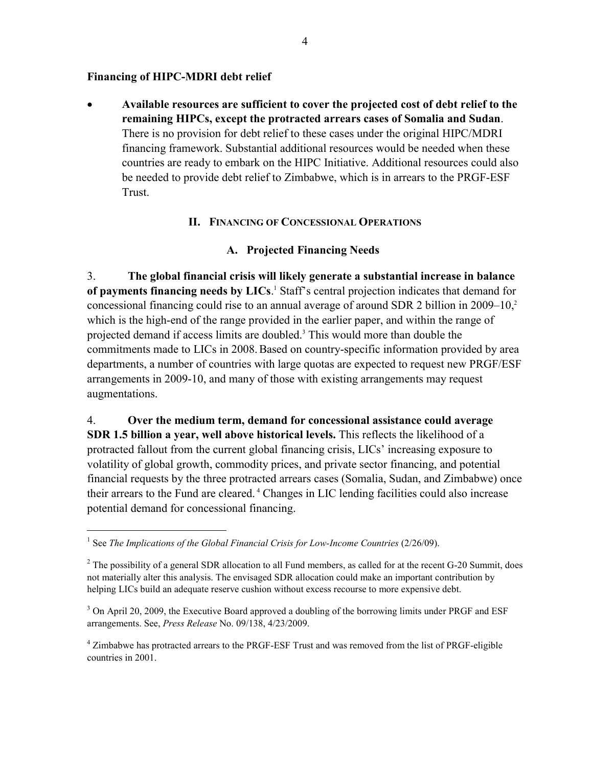## **Financing of HIPC-MDRI debt relief**

• **Available resources are sufficient to cover the projected cost of debt relief to the remaining HIPCs, except the protracted arrears cases of Somalia and Sudan**. There is no provision for debt relief to these cases under the original HIPC/MDRI financing framework. Substantial additional resources would be needed when these countries are ready to embark on the HIPC Initiative. Additional resources could also be needed to provide debt relief to Zimbabwe, which is in arrears to the PRGF-ESF Trust.

## **II. FINANCING OF CONCESSIONAL OPERATIONS**

## **A. Projected Financing Needs**

3. **The global financial crisis will likely generate a substantial increase in balance**  of payments financing needs by LICs.<sup>1</sup> Staff's central projection indicates that demand for concessional financing could rise to an annual average of around SDR 2 billion in  $2009-10$ <sup>2</sup> which is the high-end of the range provided in the earlier paper, and within the range of projected demand if access limits are doubled.<sup>3</sup> This would more than double the commitments made to LICs in 2008.Based on country-specific information provided by area departments, a number of countries with large quotas are expected to request new PRGF/ESF arrangements in 2009-10, and many of those with existing arrangements may request augmentations.

4. **Over the medium term, demand for concessional assistance could average SDR 1.5 billion a year, well above historical levels.** This reflects the likelihood of a protracted fallout from the current global financing crisis, LICs' increasing exposure to volatility of global growth, commodity prices, and private sector financing, and potential financial requests by the three protracted arrears cases (Somalia, Sudan, and Zimbabwe) once their arrears to the Fund are cleared. 4 Changes in LIC lending facilities could also increase potential demand for concessional financing.

 $\overline{a}$ 

<sup>4</sup> Zimbabwe has protracted arrears to the PRGF-ESF Trust and was removed from the list of PRGF-eligible countries in 2001.

<sup>&</sup>lt;sup>1</sup> See *The Implications of the Global Financial Crisis for Low-Income Countries* (2/26/09).

 $2^2$  The possibility of a general SDR allocation to all Fund members, as called for at the recent G-20 Summit, does not materially alter this analysis. The envisaged SDR allocation could make an important contribution by helping LICs build an adequate reserve cushion without excess recourse to more expensive debt.

<sup>&</sup>lt;sup>3</sup> On April 20, 2009, the Executive Board approved a doubling of the borrowing limits under PRGF and ESF arrangements. See, *Press Release* No. 09/138, 4/23/2009.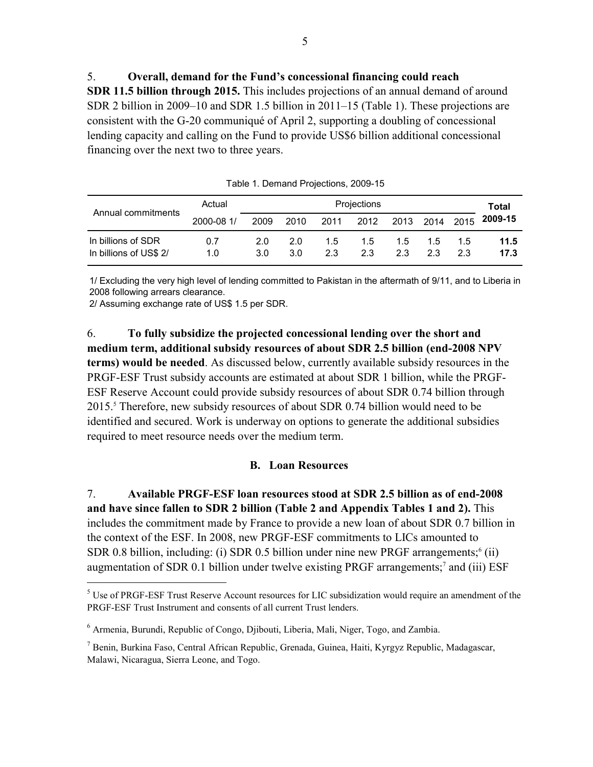5. **Overall, demand for the Fund's concessional financing could reach SDR 11.5 billion through 2015.** This includes projections of an annual demand of around SDR 2 billion in 2009–10 and SDR 1.5 billion in 2011–15 (Table 1). These projections are consistent with the G-20 communiqué of April 2, supporting a doubling of concessional lending capacity and calling on the Fund to provide US\$6 billion additional concessional financing over the next two to three years.

| Annual commitments                           | Actual     | Projections |            |            |            |          |           |          | Total        |
|----------------------------------------------|------------|-------------|------------|------------|------------|----------|-----------|----------|--------------|
|                                              | 2000-08 1/ | 2009        | 2010       | 2011       | 2012       | 2013     | 2014      | 2015     | 2009-15      |
| In billions of SDR<br>In billions of US\$ 2/ | 0.7<br>1.0 | 2.0<br>3.0  | 2.0<br>3.0 | 1.5<br>2.3 | 1.5<br>2.3 | 15<br>23 | 1.5<br>23 | 15<br>23 | 11.5<br>17.3 |

Table 1. Demand Projections, 2009-15

1/ Excluding the very high level of lending committed to Pakistan in the aftermath of 9/11, and to Liberia in 2008 following arrears clearance.

2/ Assuming exchange rate of US\$ 1.5 per SDR.

 $\overline{a}$ 

6. **To fully subsidize the projected concessional lending over the short and medium term, additional subsidy resources of about SDR 2.5 billion (end-2008 NPV terms) would be needed**. As discussed below, currently available subsidy resources in the PRGF-ESF Trust subsidy accounts are estimated at about SDR 1 billion, while the PRGF-ESF Reserve Account could provide subsidy resources of about SDR 0.74 billion through 2015.<sup>5</sup> Therefore, new subsidy resources of about SDR 0.74 billion would need to be identified and secured. Work is underway on options to generate the additional subsidies required to meet resource needs over the medium term.

#### **B. Loan Resources**

7. **Available PRGF-ESF loan resources stood at SDR 2.5 billion as of end-2008 and have since fallen to SDR 2 billion (Table 2 and Appendix Tables 1 and 2).** This includes the commitment made by France to provide a new loan of about SDR 0.7 billion in the context of the ESF. In 2008, new PRGF-ESF commitments to LICs amounted to SDR 0.8 billion, including: (i) SDR 0.5 billion under nine new PRGF arrangements; $6$  (ii) augmentation of SDR 0.1 billion under twelve existing PRGF arrangements;<sup>7</sup> and (iii) ESF

 $<sup>5</sup>$  Use of PRGF-ESF Trust Reserve Account resources for LIC subsidization would require an amendment of the</sup> PRGF-ESF Trust Instrument and consents of all current Trust lenders.

<sup>&</sup>lt;sup>6</sup> Armenia, Burundi, Republic of Congo, Djibouti, Liberia, Mali, Niger, Togo, and Zambia.

<sup>7</sup> Benin, Burkina Faso, Central African Republic, Grenada, Guinea, Haiti, Kyrgyz Republic, Madagascar, Malawi, Nicaragua, Sierra Leone, and Togo.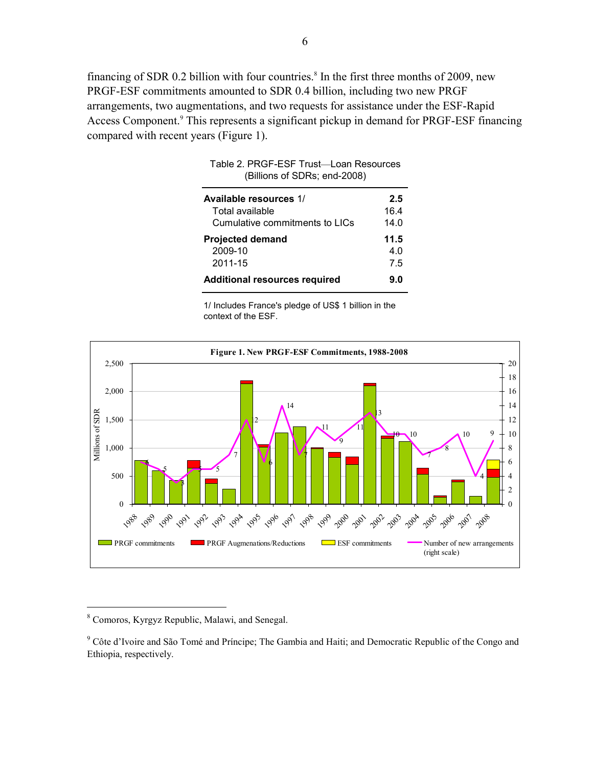financing of SDR 0.2 billion with four countries.<sup>8</sup> In the first three months of 2009, new PRGF-ESF commitments amounted to SDR 0.4 billion, including two new PRGF arrangements, two augmentations, and two requests for assistance under the ESF-Rapid Access Component.<sup>9</sup> This represents a significant pickup in demand for PRGF-ESF financing compared with recent years (Figure 1).

Table 2. PRGF-ESF Trust—Loan Resources

| (Billions of SDRs; end-2008)              |             |
|-------------------------------------------|-------------|
| Available resources 1/<br>Total available | 2.5<br>16.4 |
| Cumulative commitments to LICs            | 14 O        |
| <b>Projected demand</b><br>2009-10        | 11.5<br>4.0 |
| 2011-15                                   | 7.5         |
| <b>Additional resources required</b>      | 9.0         |

1/ Includes France's pledge of US\$ 1 billion in the context of the ESF.



Comoros, Kyrgyz Republic, Malawi, and Senegal.

<u>.</u>

<sup>&</sup>lt;sup>9</sup> Côte d'Ivoire and São Tomé and Príncipe; The Gambia and Haiti; and Democratic Republic of the Congo and Ethiopia, respectively.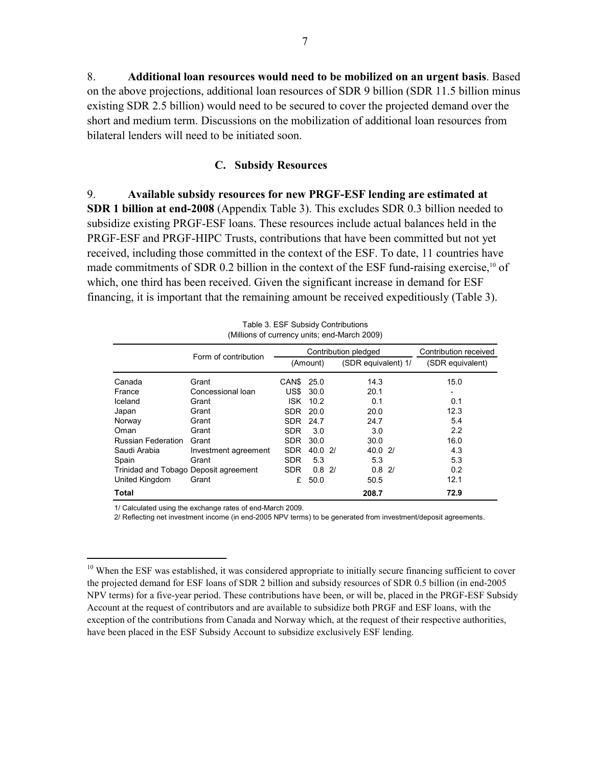8. **Additional loan resources would need to be mobilized on an urgent basis**. Based on the above projections, additional loan resources of SDR 9 billion (SDR 11.5 billion minus existing SDR 2.5 billion) would need to be secured to cover the projected demand over the short and medium term. Discussions on the mobilization of additional loan resources from bilateral lenders will need to be initiated soon.

#### **C. Subsidy Resources**

9. **Available subsidy resources for new PRGF-ESF lending are estimated at SDR 1 billion at end-2008** (Appendix Table 3). This excludes SDR 0.3 billion needed to subsidize existing PRGF-ESF loans. These resources include actual balances held in the PRGF-ESF and PRGF-HIPC Trusts, contributions that have been committed but not yet received, including those committed in the context of the ESF. To date, 11 countries have made commitments of SDR 0.2 billion in the context of the ESF fund-raising exercise,<sup>10</sup> of which, one third has been received. Given the significant increase in demand for ESF financing, it is important that the remaining amount be received expeditiously (Table 3).

|                    | Table 3. ESF Subsidy Contributions<br>(Millions of currency units; end-March 2009) |            |          |  |                      |                       |  |  |  |
|--------------------|------------------------------------------------------------------------------------|------------|----------|--|----------------------|-----------------------|--|--|--|
|                    |                                                                                    |            |          |  | Contribution pledged | Contribution received |  |  |  |
|                    | Form of contribution                                                               |            | (Amount) |  | (SDR equivalent) 1/  | (SDR equivalent)      |  |  |  |
| Canada             | Grant                                                                              | CAN\$      | 25.0     |  | 14.3                 | 15.0                  |  |  |  |
| France             | Concessional loan                                                                  | US\$       | 30.0     |  | 20.1                 | ٠                     |  |  |  |
| Iceland            | Grant                                                                              | ISK        | 10.2     |  | 0.1                  | 0.1                   |  |  |  |
| Japan              | Grant                                                                              | <b>SDR</b> | 20.0     |  | 20.0                 | 12.3                  |  |  |  |
| Norway             | Grant                                                                              | SDR.       | 24.7     |  | 24.7                 | 5.4                   |  |  |  |
| Oman               | Grant                                                                              | <b>SDR</b> | 3.0      |  | 3.0                  | 2.2                   |  |  |  |
| Russian Federation | Grant                                                                              | <b>SDR</b> | 30.0     |  | 30.0                 | 16.0                  |  |  |  |
| Saudi Arabia       | Investment agreement                                                               | <b>SDR</b> | 40.02/   |  | 40.02                | 4.3                   |  |  |  |
| Spain              | Grant                                                                              | <b>SDR</b> | 5.3      |  | 5.3                  | 5.3                   |  |  |  |
|                    | Trinidad and Tobago Deposit agreement                                              | <b>SDR</b> | $0.8$ 2/ |  | $0.8$ 2/             | 0.2                   |  |  |  |
| United Kingdom     | Grant                                                                              | £          | 50.0     |  | 50.5                 | 12.1                  |  |  |  |
| Total              |                                                                                    |            |          |  | 208.7                | 72.9                  |  |  |  |

1/ Calculated using the exchange rates of end-March 2009.

<u>.</u>

2/ Reflecting net investment income (in end-2005 NPV terms) to be generated from investment/deposit agreements.

<sup>&</sup>lt;sup>10</sup> When the ESF was established, it was considered appropriate to initially secure financing sufficient to cover the projected demand for ESF loans of SDR 2 billion and subsidy resources of SDR 0.5 billion (in end-2005 NPV terms) for a five-year period. These contributions have been, or will be, placed in the PRGF-ESF Subsidy Account at the request of contributors and are available to subsidize both PRGF and ESF loans, with the exception of the contributions from Canada and Norway which, at the request of their respective authorities, have been placed in the ESF Subsidy Account to subsidize exclusively ESF lending.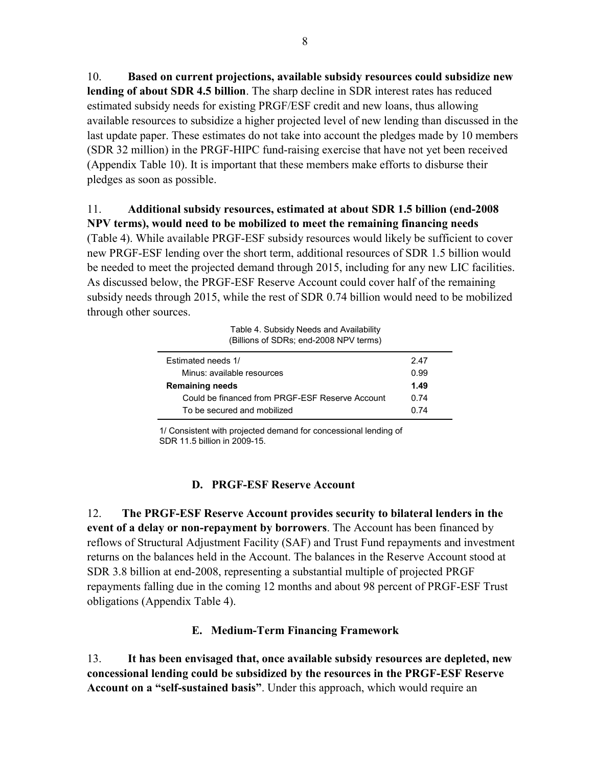10. **Based on current projections, available subsidy resources could subsidize new lending of about SDR 4.5 billion**. The sharp decline in SDR interest rates has reduced estimated subsidy needs for existing PRGF/ESF credit and new loans, thus allowing available resources to subsidize a higher projected level of new lending than discussed in the last update paper. These estimates do not take into account the pledges made by 10 members (SDR 32 million) in the PRGF-HIPC fund-raising exercise that have not yet been received (Appendix Table 10). It is important that these members make efforts to disburse their pledges as soon as possible.

## 11. **Additional subsidy resources, estimated at about SDR 1.5 billion (end-2008 NPV terms), would need to be mobilized to meet the remaining financing needs**

(Table 4). While available PRGF-ESF subsidy resources would likely be sufficient to cover new PRGF-ESF lending over the short term, additional resources of SDR 1.5 billion would be needed to meet the projected demand through 2015, including for any new LIC facilities. As discussed below, the PRGF-ESF Reserve Account could cover half of the remaining subsidy needs through 2015, while the rest of SDR 0.74 billion would need to be mobilized through other sources.

Table 4. Subsidy Needs and Availability (Billions of SDRs; end-2008 NPV terms)

| Estimated needs 1/                              | 247  |
|-------------------------------------------------|------|
| Minus: available resources                      | 0.99 |
| <b>Remaining needs</b>                          | 1.49 |
| Could be financed from PRGF-ESF Reserve Account | በ 74 |
| To be secured and mobilized                     | በ 74 |

1/ Consistent with projected demand for concessional lending of SDR 11.5 billion in 2009-15.

## **D. PRGF-ESF Reserve Account**

12. **The PRGF-ESF Reserve Account provides security to bilateral lenders in the event of a delay or non-repayment by borrowers**. The Account has been financed by reflows of Structural Adjustment Facility (SAF) and Trust Fund repayments and investment returns on the balances held in the Account. The balances in the Reserve Account stood at SDR 3.8 billion at end-2008, representing a substantial multiple of projected PRGF repayments falling due in the coming 12 months and about 98 percent of PRGF-ESF Trust obligations (Appendix Table 4).

## **E. Medium-Term Financing Framework**

13. **It has been envisaged that, once available subsidy resources are depleted, new concessional lending could be subsidized by the resources in the PRGF-ESF Reserve Account on a "self-sustained basis"**. Under this approach, which would require an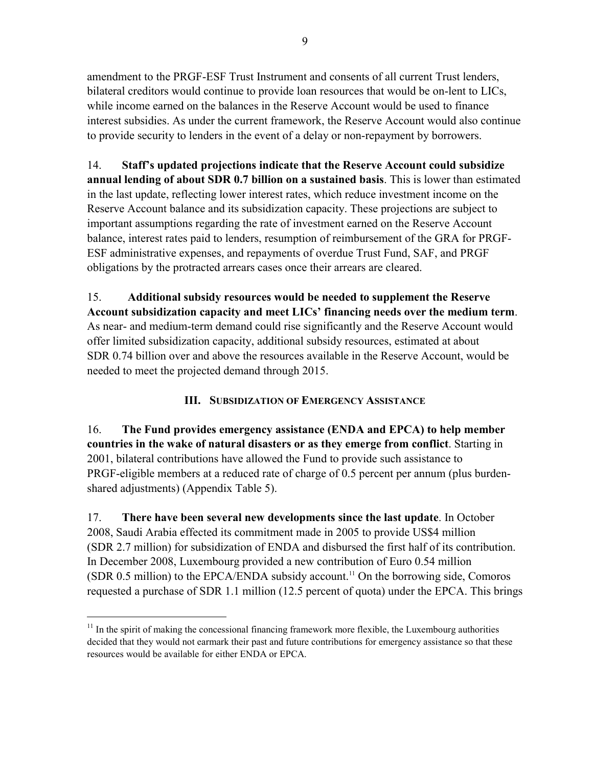amendment to the PRGF-ESF Trust Instrument and consents of all current Trust lenders, bilateral creditors would continue to provide loan resources that would be on-lent to LICs, while income earned on the balances in the Reserve Account would be used to finance interest subsidies. As under the current framework, the Reserve Account would also continue to provide security to lenders in the event of a delay or non-repayment by borrowers.

14. **Staff's updated projections indicate that the Reserve Account could subsidize annual lending of about SDR 0.7 billion on a sustained basis**. This is lower than estimated in the last update, reflecting lower interest rates, which reduce investment income on the Reserve Account balance and its subsidization capacity. These projections are subject to important assumptions regarding the rate of investment earned on the Reserve Account balance, interest rates paid to lenders, resumption of reimbursement of the GRA for PRGF-ESF administrative expenses, and repayments of overdue Trust Fund, SAF, and PRGF obligations by the protracted arrears cases once their arrears are cleared.

15. **Additional subsidy resources would be needed to supplement the Reserve Account subsidization capacity and meet LICs' financing needs over the medium term**. As near- and medium-term demand could rise significantly and the Reserve Account would offer limited subsidization capacity, additional subsidy resources, estimated at about SDR 0.74 billion over and above the resources available in the Reserve Account, would be needed to meet the projected demand through 2015.

**III. SUBSIDIZATION OF EMERGENCY ASSISTANCE**

16. **The Fund provides emergency assistance (ENDA and EPCA) to help member countries in the wake of natural disasters or as they emerge from conflict**. Starting in 2001, bilateral contributions have allowed the Fund to provide such assistance to PRGF-eligible members at a reduced rate of charge of 0.5 percent per annum (plus burdenshared adjustments) (Appendix Table 5).

17. **There have been several new developments since the last update**. In October 2008, Saudi Arabia effected its commitment made in 2005 to provide US\$4 million (SDR 2.7 million) for subsidization of ENDA and disbursed the first half of its contribution. In December 2008, Luxembourg provided a new contribution of Euro 0.54 million (SDR  $0.5$  million) to the EPCA/ENDA subsidy account.<sup>11</sup> On the borrowing side, Comoros requested a purchase of SDR 1.1 million (12.5 percent of quota) under the EPCA. This brings

 $\overline{a}$ 

 $11$  In the spirit of making the concessional financing framework more flexible, the Luxembourg authorities decided that they would not earmark their past and future contributions for emergency assistance so that these resources would be available for either ENDA or EPCA.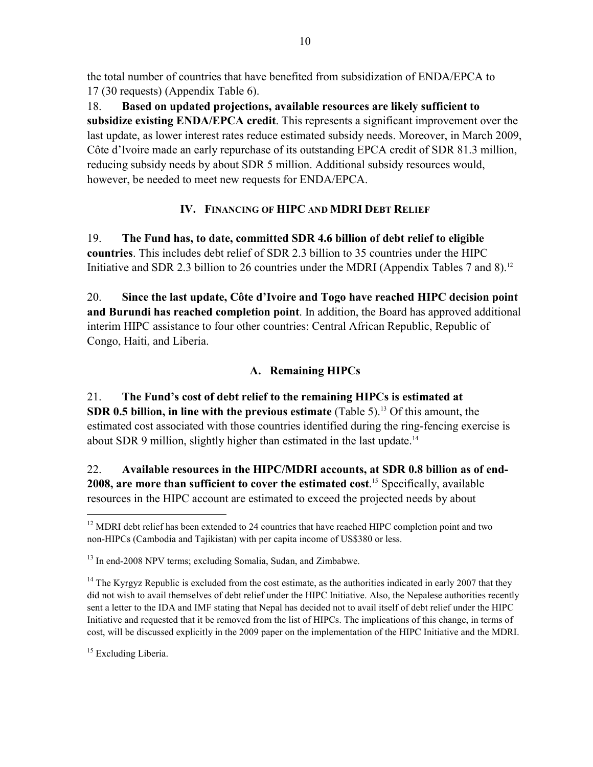the total number of countries that have benefited from subsidization of ENDA/EPCA to 17 (30 requests) (Appendix Table 6).

18. **Based on updated projections, available resources are likely sufficient to subsidize existing ENDA/EPCA credit**. This represents a significant improvement over the last update, as lower interest rates reduce estimated subsidy needs. Moreover, in March 2009, Côte d'Ivoire made an early repurchase of its outstanding EPCA credit of SDR 81.3 million, reducing subsidy needs by about SDR 5 million. Additional subsidy resources would, however, be needed to meet new requests for ENDA/EPCA.

# **IV. FINANCING OF HIPC AND MDRI DEBT RELIEF**

19. **The Fund has, to date, committed SDR 4.6 billion of debt relief to eligible countries**. This includes debt relief of SDR 2.3 billion to 35 countries under the HIPC Initiative and SDR 2.3 billion to 26 countries under the MDRI (Appendix Tables 7 and 8).<sup>12</sup>

20. **Since the last update, Côte d'Ivoire and Togo have reached HIPC decision point and Burundi has reached completion point**. In addition, the Board has approved additional interim HIPC assistance to four other countries: Central African Republic, Republic of Congo, Haiti, and Liberia.

# **A. Remaining HIPCs**

21. **The Fund's cost of debt relief to the remaining HIPCs is estimated at SDR 0.5 billion, in line with the previous estimate** (Table 5).<sup>13</sup> Of this amount, the estimated cost associated with those countries identified during the ring-fencing exercise is about SDR 9 million, slightly higher than estimated in the last update.<sup>14</sup>

22. **Available resources in the HIPC/MDRI accounts, at SDR 0.8 billion as of end-2008, are more than sufficient to cover the estimated cost**. 15 Specifically, available resources in the HIPC account are estimated to exceed the projected needs by about

<sup>15</sup> Excluding Liberia.

 $\overline{a}$ 

 $12$  MDRI debt relief has been extended to 24 countries that have reached HIPC completion point and two non-HIPCs (Cambodia and Tajikistan) with per capita income of US\$380 or less.

<sup>&</sup>lt;sup>13</sup> In end-2008 NPV terms; excluding Somalia, Sudan, and Zimbabwe.

<sup>&</sup>lt;sup>14</sup> The Kyrgyz Republic is excluded from the cost estimate, as the authorities indicated in early 2007 that they did not wish to avail themselves of debt relief under the HIPC Initiative. Also, the Nepalese authorities recently sent a letter to the IDA and IMF stating that Nepal has decided not to avail itself of debt relief under the HIPC Initiative and requested that it be removed from the list of HIPCs. The implications of this change, in terms of cost, will be discussed explicitly in the 2009 paper on the implementation of the HIPC Initiative and the MDRI.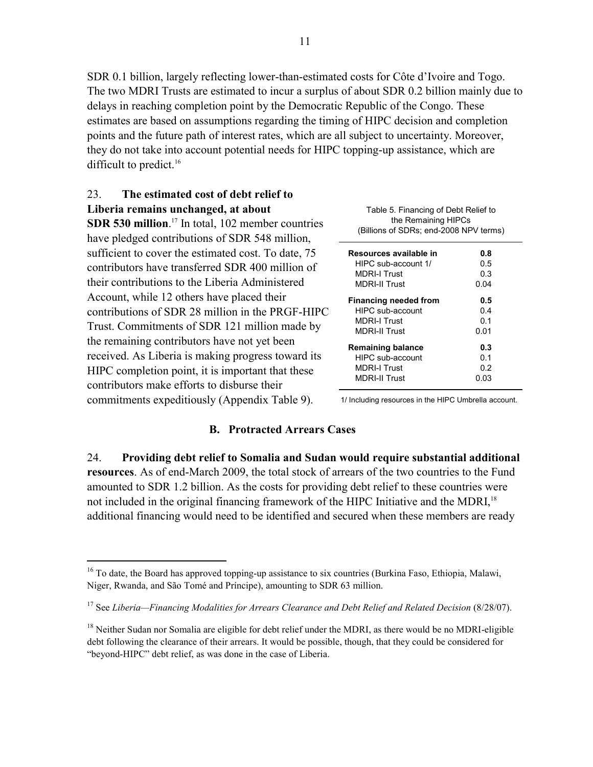SDR 0.1 billion, largely reflecting lower-than-estimated costs for Côte d'Ivoire and Togo. The two MDRI Trusts are estimated to incur a surplus of about SDR 0.2 billion mainly due to delays in reaching completion point by the Democratic Republic of the Congo. These estimates are based on assumptions regarding the timing of HIPC decision and completion points and the future path of interest rates, which are all subject to uncertainty. Moreover, they do not take into account potential needs for HIPC topping-up assistance, which are difficult to predict.<sup>16</sup>

| The estimated cost of debt relief to<br>23                                                                                                                                                             |                                                                                                       |                           |  |
|--------------------------------------------------------------------------------------------------------------------------------------------------------------------------------------------------------|-------------------------------------------------------------------------------------------------------|---------------------------|--|
| Liberia remains unchanged, at about<br><b>SDR 530 million.</b> <sup>17</sup> In total, 102 member countries<br>have pledged contributions of SDR 548 million,                                          | Table 5. Financing of Debt Relief to<br>the Remaining HIPCs<br>(Billions of SDRs; end-2008 NPV terms) |                           |  |
| sufficient to cover the estimated cost. To date, 75<br>contributors have transferred SDR 400 million of<br>their contributions to the Liberia Administered                                             | Resources available in<br>HIPC sub-account 1/<br><b>MDRI-I Trust</b><br><b>MDRI-II Trust</b>          | 0.8<br>0.5<br>0.3<br>0.04 |  |
| Account, while 12 others have placed their<br>contributions of SDR 28 million in the PRGF-HIPC<br>Trust. Commitments of SDR 121 million made by                                                        | <b>Financing needed from</b><br>HIPC sub-account<br><b>MDRI-I Trust</b><br><b>MDRI-II Trust</b>       | 0.5<br>0.4<br>0.1<br>0.01 |  |
| the remaining contributors have not yet been<br>received. As Liberia is making progress toward its<br>HIPC completion point, it is important that these<br>contributors make efforts to disburse their | <b>Remaining balance</b><br>HIPC sub-account<br><b>MDRI-I Trust</b><br><b>MDRI-II Trust</b>           | 0.3<br>0.1<br>0.2<br>0.03 |  |
| commitments expeditiously (Appendix Table 9).                                                                                                                                                          | 1/ Including resources in the HIPC Umbrella account.                                                  |                           |  |

#### **B. Protracted Arrears Cases**

24. **Providing debt relief to Somalia and Sudan would require substantial additional resources**. As of end-March 2009, the total stock of arrears of the two countries to the Fund amounted to SDR 1.2 billion. As the costs for providing debt relief to these countries were not included in the original financing framework of the HIPC Initiative and the MDRI,<sup>18</sup> additional financing would need to be identified and secured when these members are ready

<u>.</u>

<sup>&</sup>lt;sup>16</sup> To date, the Board has approved topping-up assistance to six countries (Burkina Faso, Ethiopia, Malawi, Niger, Rwanda, and São Tomé and Príncipe), amounting to SDR 63 million.

<sup>&</sup>lt;sup>17</sup> See *Liberia—Financing Modalities for Arrears Clearance and Debt Relief and Related Decision* (8/28/07).

<sup>&</sup>lt;sup>18</sup> Neither Sudan nor Somalia are eligible for debt relief under the MDRI, as there would be no MDRI-eligible debt following the clearance of their arrears. It would be possible, though, that they could be considered for "beyond-HIPC" debt relief, as was done in the case of Liberia.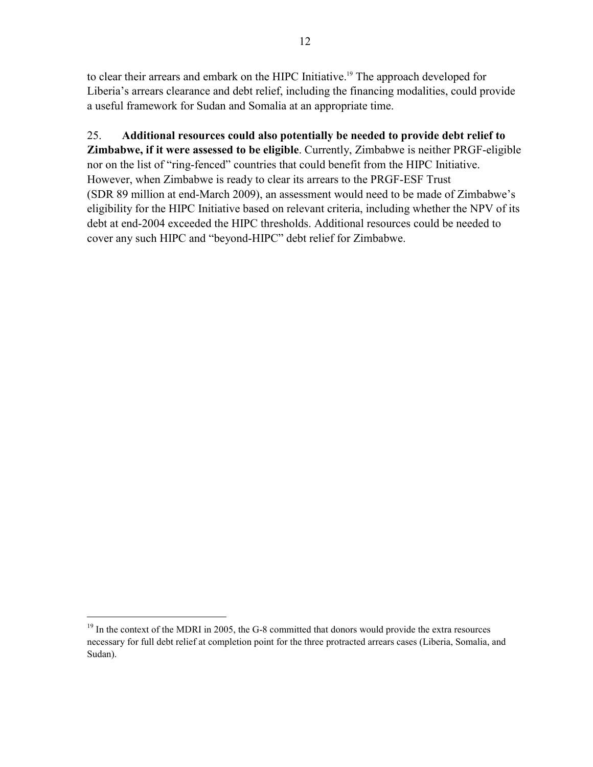to clear their arrears and embark on the HIPC Initiative.<sup>19</sup> The approach developed for Liberia's arrears clearance and debt relief, including the financing modalities, could provide a useful framework for Sudan and Somalia at an appropriate time.

25. **Additional resources could also potentially be needed to provide debt relief to Zimbabwe, if it were assessed to be eligible**. Currently, Zimbabwe is neither PRGF-eligible nor on the list of "ring-fenced" countries that could benefit from the HIPC Initiative. However, when Zimbabwe is ready to clear its arrears to the PRGF-ESF Trust (SDR 89 million at end-March 2009), an assessment would need to be made of Zimbabwe's eligibility for the HIPC Initiative based on relevant criteria, including whether the NPV of its debt at end-2004 exceeded the HIPC thresholds. Additional resources could be needed to cover any such HIPC and "beyond-HIPC" debt relief for Zimbabwe.

 $\overline{a}$ 

 $19$  In the context of the MDRI in 2005, the G-8 committed that donors would provide the extra resources necessary for full debt relief at completion point for the three protracted arrears cases (Liberia, Somalia, and Sudan).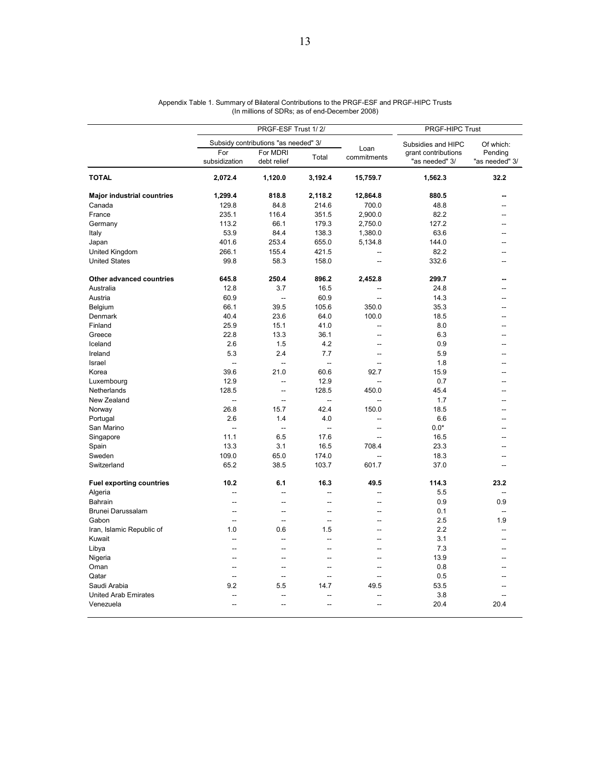|                                   |                          | PRGF-ESF Trust 1/2/                  | PRGF-HIPC Trust          |                     |                                       |                           |
|-----------------------------------|--------------------------|--------------------------------------|--------------------------|---------------------|---------------------------------------|---------------------------|
|                                   |                          | Subsidy contributions "as needed" 3/ |                          |                     | Subsidies and HIPC                    | Of which:                 |
|                                   | For<br>subsidization     | For MDRI<br>debt relief              | Total                    | Loan<br>commitments | grant contributions<br>"as needed" 3/ | Pending<br>"as needed" 3/ |
| <b>TOTAL</b>                      | 2,072.4                  | 1,120.0                              | 3,192.4                  | 15,759.7            | 1,562.3                               | 32.2                      |
| <b>Major industrial countries</b> | 1,299.4                  | 818.8                                | 2,118.2                  | 12,864.8            | 880.5                                 |                           |
| Canada                            | 129.8                    | 84.8                                 | 214.6                    | 700.0               | 48.8                                  |                           |
| France                            | 235.1                    | 116.4                                | 351.5                    | 2,900.0             | 82.2                                  | --                        |
| Germany                           | 113.2                    | 66.1                                 | 179.3                    | 2,750.0             | 127.2                                 |                           |
| Italy                             | 53.9                     | 84.4                                 | 138.3                    | 1,380.0             | 63.6                                  | --                        |
| Japan                             | 401.6                    | 253.4                                | 655.0                    | 5,134.8             | 144.0                                 |                           |
| United Kingdom                    | 266.1                    | 155.4                                | 421.5                    |                     | 82.2                                  |                           |
| <b>United States</b>              | 99.8                     | 58.3                                 | 158.0                    | $\sim$              | 332.6                                 |                           |
| <b>Other advanced countries</b>   | 645.8                    | 250.4                                | 896.2                    | 2,452.8             | 299.7                                 |                           |
| Australia                         | 12.8                     | 3.7                                  | 16.5                     | --                  | 24.8                                  |                           |
| Austria                           | 60.9                     | $\sim$                               | 60.9                     | $\sim$              | 14.3                                  |                           |
| Belgium                           | 66.1                     | 39.5                                 | 105.6                    | 350.0               | 35.3                                  |                           |
| Denmark                           | 40.4                     | 23.6                                 | 64.0                     | 100.0               | 18.5                                  | --                        |
| Finland                           | 25.9                     | 15.1                                 | 41.0                     | --                  | 8.0                                   |                           |
| Greece                            | 22.8                     | 13.3                                 | 36.1                     |                     | 6.3                                   |                           |
| Iceland                           | 2.6                      | 1.5                                  | 4.2                      | $\overline{a}$      | 0.9                                   |                           |
| Ireland                           | 5.3                      | 2.4                                  | 7.7                      | Ξ.                  | 5.9                                   |                           |
| Israel                            | $\overline{a}$           | $\overline{\phantom{a}}$             | $\overline{\phantom{a}}$ | $\overline{a}$      | 1.8                                   |                           |
| Korea                             | 39.6                     | 21.0                                 | 60.6                     | 92.7                | 15.9                                  |                           |
| Luxembourg                        | 12.9                     | Ξ.                                   | 12.9                     | $\overline{a}$      | 0.7                                   |                           |
| Netherlands                       | 128.5                    | $\overline{a}$                       | 128.5                    | 450.0               | 45.4                                  |                           |
| New Zealand                       | $\overline{a}$           | $\overline{\phantom{a}}$             | $\overline{\phantom{a}}$ | Ξ.                  | 1.7                                   |                           |
| Norway                            | 26.8                     | 15.7                                 | 42.4                     | 150.0               | 18.5                                  |                           |
| Portugal                          | 2.6                      | 1.4                                  | 4.0                      | $\overline{a}$      | 6.6                                   |                           |
| San Marino                        | $\sim$                   | $\ddotsc$                            | $\overline{a}$           | $\sim$              | $0.0*$                                |                           |
|                                   | 11.1                     | 6.5                                  | 17.6                     | $\overline{a}$      |                                       |                           |
| Singapore                         | 13.3                     | 3.1                                  | 16.5                     | 708.4               | 16.5                                  |                           |
| Spain                             |                          |                                      |                          |                     | 23.3                                  |                           |
| Sweden                            | 109.0                    | 65.0                                 | 174.0                    | $\sim$              | 18.3                                  | --                        |
| Switzerland                       | 65.2                     | 38.5                                 | 103.7                    | 601.7               | 37.0                                  |                           |
| <b>Fuel exporting countries</b>   | 10.2                     | 6.1                                  | 16.3                     | 49.5                | 114.3                                 | 23.2                      |
| Algeria                           | $\overline{a}$           | $\overline{a}$                       | Ξ.                       | $\overline{a}$      | 5.5                                   | --                        |
| <b>Bahrain</b>                    | $\overline{a}$           | $\overline{a}$                       | L.                       | $\overline{a}$      | 0.9                                   | 0.9                       |
| Brunei Darussalam                 | $\sim$                   | --                                   | $\sim$                   | $\sim$              | 0.1                                   | ÷.                        |
| Gabon                             | $\overline{a}$           | $\sim$                               | L.                       | $\overline{a}$      | 2.5                                   | 1.9                       |
| Iran, Islamic Republic of         | 1.0                      | 0.6                                  | 1.5                      |                     | 2.2                                   | Ξ.                        |
| Kuwait                            | $\sim$                   | $\sim$                               | $\sim$                   | $\sim$              | 3.1                                   | --                        |
| Libya                             | $\overline{a}$           | Ξ.                                   | Ξ.                       | $\overline{a}$      | 7.3                                   | ۵.                        |
| Nigeria                           | $\overline{a}$           |                                      | ۵.                       | $\sim$              | 13.9                                  |                           |
| Oman                              | $\overline{a}$           | --                                   | н.                       | $\sim$              | 0.8                                   |                           |
| Qatar                             | Ξ.                       | Ξ.                                   | Ξ.                       | Ξ.                  | 0.5                                   |                           |
| Saudi Arabia                      | 9.2                      | 5.5                                  | 14.7                     | 49.5                | 53.5                                  | --                        |
| <b>United Arab Emirates</b>       | $\overline{\phantom{a}}$ |                                      |                          | $\overline{a}$      | 3.8                                   |                           |
| Venezuela                         | $\overline{a}$           | $\overline{a}$                       | ۵.                       | $\overline{a}$      | 20.4                                  | 20.4                      |

| Appendix Table 1. Summary of Bilateral Contributions to the PRGF-ESF and PRGF-HIPC Trusts |
|-------------------------------------------------------------------------------------------|
| (In millions of SDRs; as of end-December 2008)                                            |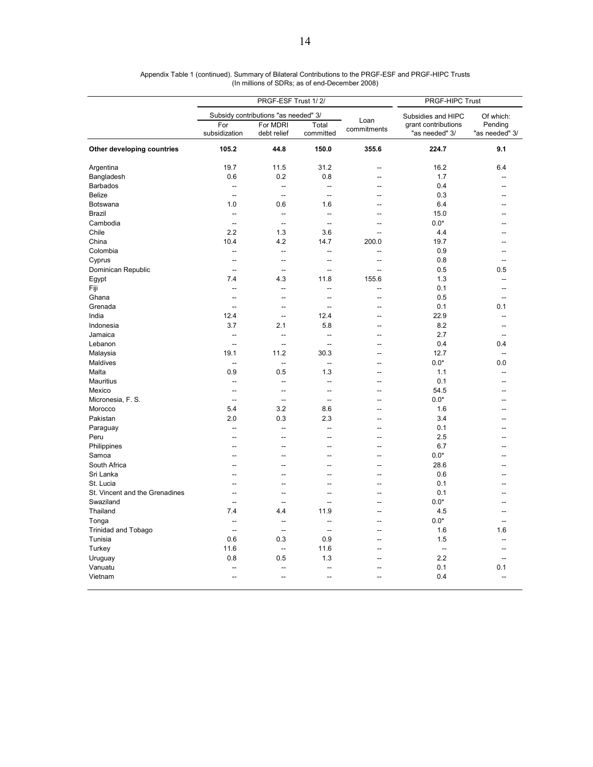|                                |                          | PRGF-ESF Trust 1/2/                  | PRGF-HIPC Trust          |                     |                                       |                           |
|--------------------------------|--------------------------|--------------------------------------|--------------------------|---------------------|---------------------------------------|---------------------------|
|                                |                          | Subsidy contributions "as needed" 3/ |                          |                     | Subsidies and HIPC                    | Of which:                 |
|                                | For<br>subsidization     | For MDRI<br>debt relief              | Total<br>committed       | Loan<br>commitments | grant contributions<br>"as needed" 3/ | Pending<br>"as needed" 3/ |
| Other developing countries     | 105.2                    | 44.8                                 | 150.0                    | 355.6               | 224.7                                 | 9.1                       |
| Argentina                      | 19.7                     | 11.5                                 | 31.2                     | $\overline{a}$      | 16.2                                  | 6.4                       |
| Bangladesh                     | 0.6                      | 0.2                                  | 0.8                      |                     | 1.7                                   |                           |
| <b>Barbados</b>                | --                       | μ.                                   | ÷.                       | $\overline{a}$      | 0.4                                   |                           |
| <b>Belize</b>                  | $\overline{\phantom{a}}$ | $\overline{\phantom{a}}$             | $\overline{\phantom{a}}$ | $-$                 | 0.3                                   |                           |
| <b>Botswana</b>                | 1.0                      | 0.6                                  | 1.6                      | $\overline{a}$      | 6.4                                   |                           |
| <b>Brazil</b>                  | $\overline{a}$           | $\overline{a}$                       | $\overline{\phantom{a}}$ | $\sim$              | 15.0                                  |                           |
| Cambodia                       | $\overline{\phantom{a}}$ | $\overline{a}$                       | $\overline{\phantom{a}}$ |                     | $0.0*$                                |                           |
| Chile                          | 2.2                      | 1.3                                  | 3.6                      | $\overline{a}$      | 4.4                                   |                           |
| China                          | 10.4                     | 4.2                                  | 14.7                     | 200.0               | 19.7                                  |                           |
| Colombia                       | -−                       | --                                   | Ξ.                       | --                  | 0.9                                   |                           |
| Cyprus                         | Ξ.                       | Ξ.                                   | Ξ.                       | $\overline{a}$      | 0.8                                   | $\overline{a}$            |
| Dominican Republic             | $-$                      |                                      | Ξ.                       | $\overline{a}$      | 0.5                                   | 0.5                       |
| Egypt                          | 7.4                      | 4.3                                  | 11.8                     | 155.6               | 1.3                                   |                           |
| Fiji                           | $\overline{a}$           | $\sim$                               | ÷.                       | $\overline{a}$      | 0.1                                   | --                        |
| Ghana                          | --                       | --                                   | Ξ.                       | --                  | 0.5                                   |                           |
| Grenada                        | $\sim$                   | $\overline{a}$                       | L.                       | $\sim$              | 0.1                                   | 0.1                       |
| India                          | 12.4                     | ÷.                                   | 12.4                     |                     | 22.9                                  |                           |
| Indonesia                      | 3.7                      | 2.1                                  | 5.8                      |                     | 8.2                                   |                           |
| Jamaica                        | --                       | $\overline{a}$                       | ÷.                       | $\overline{a}$      | 2.7                                   | --                        |
| Lebanon                        | $\overline{a}$           | Ξ.                                   | 44                       | --                  | 0.4                                   | 0.4                       |
| Malaysia                       | 19.1                     | 11.2                                 | 30.3                     |                     | 12.7                                  | --                        |
| Maldives                       | $\overline{a}$           | $\overline{\phantom{a}}$             | ÷.                       | $\sim$              | $0.0*$                                | 0.0                       |
| Malta                          | 0.9                      | 0.5                                  | 1.3                      | --                  | 1.1                                   |                           |
| <b>Mauritius</b>               | $\overline{a}$           | μ.                                   | L.                       | $\overline{a}$      | 0.1                                   | --                        |
| Mexico                         | $\overline{a}$           | $\overline{\phantom{a}}$             | 44                       | $\overline{a}$      | 54.5                                  |                           |
|                                |                          |                                      |                          |                     | $0.0*$                                |                           |
| Micronesia, F. S.              | --                       | μ.<br>3.2                            | $\overline{a}$           | --                  |                                       |                           |
| Morocco                        | 5.4                      |                                      | 8.6                      | $\overline{a}$      | 1.6                                   |                           |
| Pakistan                       | 2.0                      | 0.3                                  | 2.3                      | --                  | 3.4                                   |                           |
| Paraguay                       | Ξ.                       | --                                   | Ξ.                       | Ξ.                  | 0.1                                   |                           |
| Peru                           | $\overline{a}$           |                                      | --                       | $\overline{a}$      | 2.5                                   |                           |
| Philippines                    | --                       | --                                   | --                       | $\overline{a}$      | 6.7                                   |                           |
| Samoa                          | $\overline{a}$           |                                      | ш.                       | $\sim$              | $0.0*$                                |                           |
| South Africa                   | Ξ.                       | ۵.                                   | ÷.                       | Ξ.                  | 28.6                                  |                           |
| Sri Lanka                      |                          |                                      | Ξ.                       |                     | 0.6                                   |                           |
| St. Lucia                      | $\overline{a}$           | $\overline{a}$                       | $\overline{a}$           | $\overline{a}$      | 0.1                                   |                           |
| St. Vincent and the Grenadines | --                       | --                                   | --                       | --                  | 0.1                                   |                           |
| Swaziland                      | Ξ.                       |                                      | ш.                       | --                  | $0.0*$                                |                           |
| Thailand                       | 7.4                      | 4.4                                  | 11.9                     | $\overline{a}$      | 4.5                                   |                           |
| Tonga                          | --                       | --                                   | --                       | ۵.                  | $0.0*$                                |                           |
| <b>Trinidad and Tobago</b>     | $\overline{a}$           | $\overline{a}$                       | $\overline{a}$           | $\sim$              | 1.6                                   | 1.6                       |
| Tunisia                        | 0.6                      | 0.3                                  | 0.9                      | Ξ.                  | 1.5                                   |                           |
| Turkey                         | 11.6                     | --                                   | 11.6                     |                     | $\overline{\phantom{a}}$              |                           |
| Uruguay                        | 0.8                      | 0.5                                  | 1.3                      | $\overline{a}$      | 2.2                                   |                           |
| Vanuatu                        |                          |                                      |                          |                     | 0.1                                   | 0.1                       |
| Vietnam                        | Ξ.                       | -−                                   | Ξ.                       |                     | 0.4                                   | $\overline{\phantom{a}}$  |

Appendix Table 1 (continued). Summary of Bilateral Contributions to the PRGF-ESF and PRGF-HIPC Trusts (In millions of SDRs; as of end-December 2008)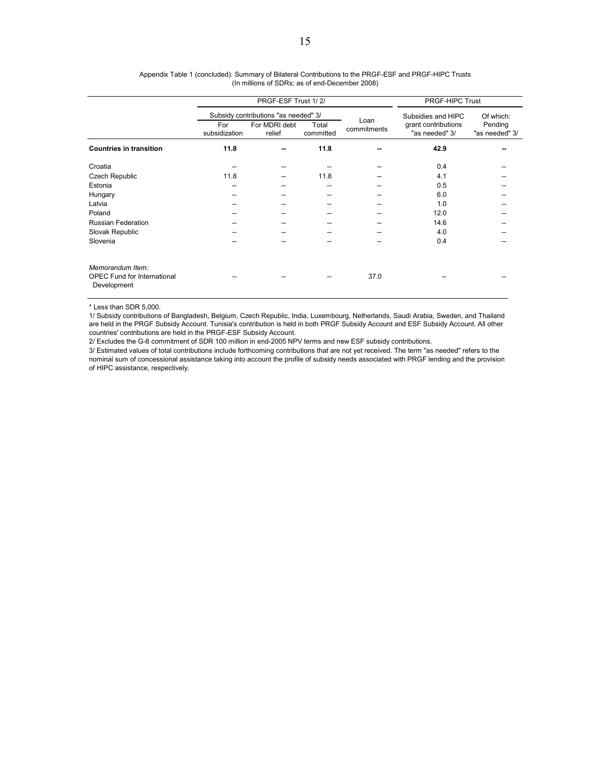|                                                                       |                      | PRGF-ESF Trust 1/2/                  | PRGF-HIPC Trust    |                     |                                       |                           |
|-----------------------------------------------------------------------|----------------------|--------------------------------------|--------------------|---------------------|---------------------------------------|---------------------------|
|                                                                       |                      | Subsidy contributions "as needed" 3/ |                    |                     | Subsidies and HIPC                    | Of which:                 |
|                                                                       | For<br>subsidization | For MDRI debt<br>relief              | Total<br>committed | Loan<br>commitments | grant contributions<br>"as needed" 3/ | Pending<br>"as needed" 3/ |
| <b>Countries in transition</b>                                        | 11.8                 |                                      | 11.8               | --                  | 42.9                                  |                           |
| Croatia                                                               |                      |                                      |                    |                     | 0.4                                   |                           |
| Czech Republic                                                        | 11.8                 |                                      | 11.8               |                     | 4.1                                   |                           |
| Estonia                                                               | --                   |                                      | --                 |                     | 0.5                                   |                           |
| Hungary                                                               | --                   |                                      |                    |                     | 6.0                                   |                           |
| Latvia                                                                |                      |                                      |                    |                     | 1.0                                   |                           |
| Poland                                                                |                      |                                      |                    |                     | 12.0                                  |                           |
| <b>Russian Federation</b>                                             |                      |                                      |                    |                     | 14.6                                  |                           |
| Slovak Republic                                                       |                      |                                      |                    |                     | 4.0                                   |                           |
| Slovenia                                                              |                      |                                      |                    |                     | 0.4                                   |                           |
| Memorandum Item:<br><b>OPEC Fund for International</b><br>Development |                      |                                      |                    | 37.0                |                                       |                           |

| Appendix Table 1 (concluded). Summary of Bilateral Contributions to the PRGF-ESF and PRGF-HIPC Trusts |
|-------------------------------------------------------------------------------------------------------|
| (In millions of SDRs; as of end-December 2008)                                                        |

\* Less than SDR 5,000.

1/ Subsidy contributions of Bangladesh, Belgium, Czech Republic, India, Luxembourg, Netherlands, Saudi Arabia, Sweden, and Thailand are held in the PRGF Subsidy Account. Tunisia's contribution is held in both PRGF Subsidy Account and ESF Subsidy Account. All other countries' contributions are held in the PRGF-ESF Subsidy Account.

2/ Excludes the G-8 commitment of SDR 100 million in end-2005 NPV terms and new ESF subsidy contributions.

3/ Estimated values of total contributions include forthcoming contributions that are not yet received. The term "as needed" refers to the nominal sum of concessional assistance taking into account the profile of subsidy needs associated with PRGF lending and the provision of HIPC assistance, respectively.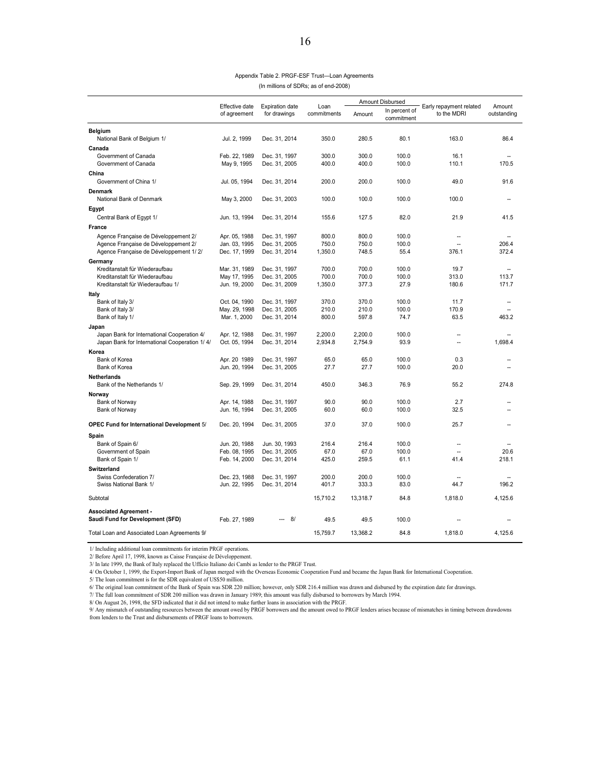| Appendix Table 2. PRGF-ESF Trust-Loan Agreements |
|--------------------------------------------------|
| (In millions of SDRs; as of end-2008)            |

|                                                                  | Effective date                | <b>Expiration date</b>         | Loan           | Amount Disbursed |                             | Early repayment related  | Amount         |
|------------------------------------------------------------------|-------------------------------|--------------------------------|----------------|------------------|-----------------------------|--------------------------|----------------|
|                                                                  | of agreement                  | for drawings                   | commitments    | Amount           | In percent of<br>commitment | to the MDRI              | outstanding    |
| <b>Belgium</b>                                                   |                               |                                |                |                  |                             |                          |                |
| National Bank of Belgium 1/                                      | Jul. 2, 1999                  | Dec. 31, 2014                  | 350.0          | 280.5            | 80.1                        | 163.0                    | 86.4           |
| Canada                                                           |                               |                                |                |                  |                             |                          |                |
| Government of Canada                                             | Feb. 22, 1989                 | Dec. 31, 1997                  | 300.0          | 300.0            | 100.0                       | 16.1                     |                |
| Government of Canada                                             | May 9, 1995                   | Dec. 31, 2005                  | 400.0          | 400.0            | 100.0                       | 110.1                    | 170.5          |
| China                                                            |                               |                                |                |                  |                             |                          |                |
| Government of China 1/                                           | Jul. 05, 1994                 | Dec. 31, 2014                  | 200.0          | 200.0            | 100.0                       | 49.0                     | 91.6           |
| <b>Denmark</b>                                                   |                               |                                |                |                  |                             |                          |                |
| National Bank of Denmark                                         | May 3, 2000                   | Dec. 31, 2003                  | 100.0          | 100.0            | 100.0                       | 100.0                    |                |
| Egypt                                                            |                               |                                |                |                  |                             |                          |                |
| Central Bank of Egypt 1/                                         | Jun. 13, 1994                 | Dec. 31, 2014                  | 155.6          | 127.5            | 82.0                        | 21.9                     | 41.5           |
| France                                                           |                               |                                |                |                  |                             |                          |                |
| Agence Française de Développement 2/                             | Apr. 05, 1988                 | Dec. 31, 1997                  | 800.0          | 800.0            | 100.0                       |                          |                |
| Agence Française de Développement 2/                             | Jan. 03, 1995                 | Dec. 31, 2005                  | 750.0          | 750.0            | 100.0                       | $\sim$                   | 206.4          |
| Agence Française de Développement 1/2/                           | Dec. 17, 1999                 | Dec. 31, 2014                  | 1,350.0        | 748.5            | 55.4                        | 376.1                    | 372.4          |
| Germany                                                          |                               |                                |                |                  |                             |                          |                |
| Kreditanstalt für Wiederaufbau<br>Kreditanstalt für Wiederaufbau | Mar. 31, 1989<br>May 17, 1995 | Dec. 31, 1997<br>Dec. 31, 2005 | 700.0<br>700.0 | 700.0<br>700.0   | 100.0<br>100.0              | 19.7<br>313.0            | 113.7          |
| Kreditanstalt für Wiederaufbau 1/                                | Jun. 19, 2000                 | Dec. 31, 2009                  | 1,350.0        | 377.3            | 27.9                        | 180.6                    | 171.7          |
| Italy                                                            |                               |                                |                |                  |                             |                          |                |
| Bank of Italy 3/                                                 | Oct. 04, 1990                 | Dec. 31, 1997                  | 370.0          | 370.0            | 100.0                       | 11.7                     | $\overline{a}$ |
| Bank of Italy 3/                                                 | May. 29, 1998                 | Dec. 31, 2005                  | 210.0          | 210.0            | 100.0                       | 170.9                    | $\sim$         |
| Bank of Italy 1/                                                 | Mar. 1, 2000                  | Dec. 31, 2014                  | 800.0          | 597.8            | 74.7                        | 63.5                     | 463.2          |
| Japan                                                            |                               |                                |                |                  |                             |                          |                |
| Japan Bank for International Cooperation 4/                      | Apr. 12, 1988                 | Dec. 31, 1997                  | 2,200.0        | 2,200.0          | 100.0                       | $\sim$                   |                |
| Japan Bank for International Cooperation 1/4/                    | Oct. 05, 1994                 | Dec. 31, 2014                  | 2,934.8        | 2,754.9          | 93.9                        | $\overline{\phantom{a}}$ | 1,698.4        |
| Korea                                                            |                               |                                |                |                  |                             |                          |                |
| Bank of Korea                                                    | Apr. 20 1989                  | Dec. 31, 1997                  | 65.0           | 65.0             | 100.0                       | 0.3                      |                |
| Bank of Korea                                                    | Jun. 20, 1994                 | Dec. 31, 2005                  | 27.7           | 27.7             | 100.0                       | 20.0                     |                |
| <b>Netherlands</b>                                               |                               |                                |                |                  |                             |                          |                |
| Bank of the Netherlands 1/                                       | Sep. 29, 1999                 | Dec. 31, 2014                  | 450.0          | 346.3            | 76.9                        | 55.2                     | 274.8          |
| Norway                                                           |                               |                                |                |                  |                             |                          |                |
| Bank of Norway                                                   | Apr. 14, 1988                 | Dec. 31, 1997                  | 90.0<br>60.0   | 90.0<br>60.0     | 100.0<br>100.0              | 2.7<br>32.5              |                |
| Bank of Norway                                                   | Jun. 16, 1994                 | Dec. 31, 2005                  |                |                  |                             |                          |                |
| OPEC Fund for International Development 5/                       | Dec. 20, 1994                 | Dec. 31, 2005                  | 37.0           | 37.0             | 100.0                       | 25.7                     |                |
| Spain                                                            |                               |                                |                |                  |                             |                          |                |
| Bank of Spain 6/                                                 | Jun. 20, 1988                 | Jun. 30, 1993                  | 216.4          | 216.4            | 100.0                       | $\overline{\phantom{a}}$ |                |
| Government of Spain                                              | Feb. 08, 1995                 | Dec. 31, 2005                  | 67.0           | 67.0             | 100.0                       |                          | 20.6           |
| Bank of Spain 1/                                                 | Feb. 14, 2000                 | Dec. 31, 2014                  | 425.0          | 259.5            | 61.1                        | 41.4                     | 218.1          |
| Switzerland                                                      |                               |                                |                |                  |                             |                          |                |
| Swiss Confederation 7/                                           | Dec. 23, 1988                 | Dec. 31, 1997                  | 200.0          | 200.0            | 100.0                       | $\overline{\phantom{a}}$ |                |
| Swiss National Bank 1/                                           | Jun. 22, 1995                 | Dec. 31, 2014                  | 401.7          | 333.3            | 83.0                        | 44.7                     | 196.2          |
| Subtotal                                                         |                               |                                | 15,710.2       | 13,318.7         | 84.8                        | 1,818.0                  | 4,125.6        |
| <b>Associated Agreement -</b>                                    |                               |                                |                |                  |                             |                          |                |
| Saudi Fund for Development (SFD)                                 | Feb. 27, 1989                 | 8/                             | 49.5           | 49.5             | 100.0                       |                          |                |
| Total Loan and Associated Loan Agreements 9/                     |                               |                                | 15.759.7       | 13.368.2         | 84.8                        | 1.818.0                  | 4.125.6        |

1/ Including additional loan commitments for interim PRGF operations.

2/ Before April 17, 1998, known as Caisse Française de Développement.

3/ In late 1999, the Bank of Italy replaced the Ufficio Italiano dei Cambi as lender to the PRGF Trust.

4/ On October 1, 1999, the Export-Import Bank of Japan merged with the Overseas Economic Cooperation Fund and became the Japan Bank for International Cooperation.

5/ The loan commitment is for the SDR equivalent of US\$50 million.

6/ The original loan commitment of the Bank of Spain was SDR 220 million; however, only SDR 216.4 million was drawn and disbursed by the expiration date for drawings.

7/ The full loan commitment of SDR 200 million was drawn in January 1989; this amount was fully disbursed to borrowers by March 1994.

8/ On August 26, 1998, the SFD indicated that it did not intend to make further loans in association with the PRGF.

9/ Any mismatch of outstanding resources between the amount owed by PRGF borrowers and the amount owed to PRGF lenders arises because of mismatches in timing between drawdowns<br>from lenders to the Trust and disbursements of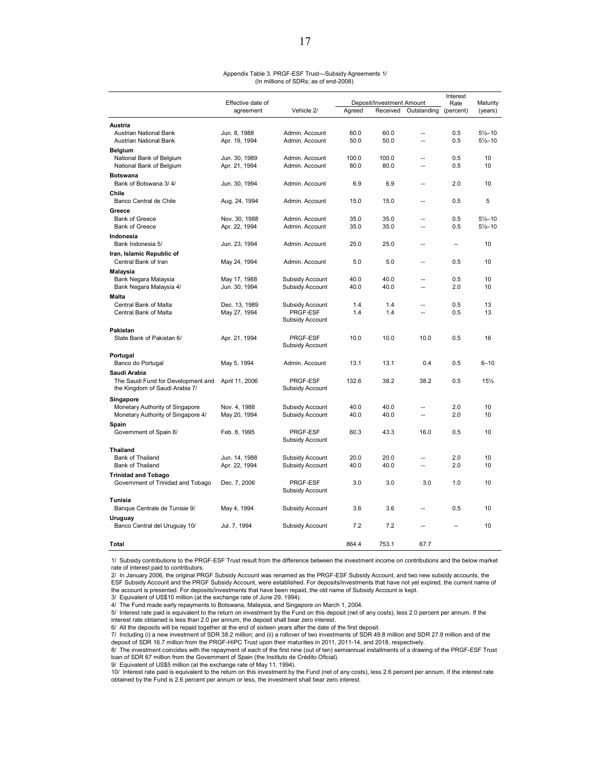#### Appendix Table 3. PRGF-ESF Trust—Subsidy Agreements 1/ (In millions of SDRs; as of end-2008)

|                                                 | Effective date of             | Deposit/Investment Amount          |        |          | Interest<br>Rate | Maturity  |                     |
|-------------------------------------------------|-------------------------------|------------------------------------|--------|----------|------------------|-----------|---------------------|
|                                                 | agreement                     | Vehicle 2/                         | Agreed | Received | Outstanding      | (percent) | (years)             |
| Austria                                         |                               |                                    |        |          |                  |           |                     |
| Austrian National Bank                          | Jun. 8, 1988                  | Admin. Account                     | 60.0   | 60.0     | Ξ.               | 0.5       | $5\frac{1}{2} - 10$ |
| Austrian National Bank                          | Apr. 19, 1994                 | Admin. Account                     | 50.0   | 50.0     | ц,               | 0.5       | $5\frac{1}{2} - 10$ |
| <b>Belgium</b>                                  |                               |                                    |        |          |                  |           |                     |
| National Bank of Belgium                        | Jun. 30, 1989                 | Admin. Account                     | 100.0  | 100.0    | ц,               | 0.5       | 10                  |
| National Bank of Belgium                        | Apr. 21, 1994                 | Admin. Account                     | 80.0   | 80.0     | Ξ.               | 0.5       | 10                  |
| <b>Botswana</b>                                 |                               |                                    |        |          |                  |           |                     |
| Bank of Botswana 3/4/                           | Jun. 30, 1994                 | Admin. Account                     | 6.9    | 6.9      | $\overline{a}$   | 2.0       | 10                  |
| Chile                                           |                               |                                    |        |          |                  |           |                     |
| Banco Central de Chile                          | Aug. 24, 1994                 | Admin. Account                     | 15.0   | 15.0     | $\overline{a}$   | 0.5       | 5                   |
| Greece                                          |                               |                                    |        |          |                  |           |                     |
| <b>Bank of Greece</b>                           | Nov. 30, 1988                 | Admin. Account                     | 35.0   | 35.0     | Ξ.               | 0.5       | $5\frac{1}{2} - 10$ |
| <b>Bank of Greece</b>                           | Apr. 22, 1994                 | Admin. Account                     | 35.0   | 35.0     | Ξ.               | 0.5       | $5\frac{1}{2} - 10$ |
| Indonesia                                       |                               |                                    |        |          |                  |           |                     |
| Bank Indonesia 5/                               | Jun. 23, 1994                 | Admin. Account                     | 25.0   | 25.0     | $\overline{a}$   | $\sim$    | 10                  |
| Iran, Islamic Republic of                       |                               |                                    |        |          |                  |           |                     |
| Central Bank of Iran                            | May 24, 1994                  | Admin, Account                     | 5.0    | 5.0      | $\overline{a}$   | 0.5       | 10                  |
| Malaysia                                        |                               |                                    | 40.0   | 40.0     | Ξ.               | 0.5       | 10                  |
| Bank Negara Malaysia<br>Bank Negara Malaysia 4/ | May 17, 1988<br>Jun. 30, 1994 | Subsidy Account<br>Subsidy Account | 40.0   | 40.0     | Ξ.               | 2.0       | 10                  |
| Malta                                           |                               |                                    |        |          |                  |           |                     |
| Central Bank of Malta                           | Dec. 13, 1989                 | Subsidy Account                    | 1.4    | 1.4      | $\overline{a}$   | 0.5       | 13                  |
| Central Bank of Malta                           | May 27, 1994                  | PRGF-ESF                           | 1.4    | 1.4      | Ξ.               | 0.5       | 13                  |
|                                                 |                               | Subsidy Account                    |        |          |                  |           |                     |
| Pakistan                                        |                               |                                    |        |          |                  |           |                     |
| State Bank of Pakistan 6/                       | Apr. 21, 1994                 | PRGF-ESF                           | 10.0   | 10.0     | 10.0             | 0.5       | 16                  |
|                                                 |                               | Subsidy Account                    |        |          |                  |           |                     |
| Portugal                                        |                               |                                    |        |          |                  |           |                     |
| Banco do Portugal                               | May 5, 1994                   | Admin. Account                     | 13.1   | 13.1     | 0.4              | 0.5       | $6 - 10$            |
| Saudi Arabia                                    |                               |                                    |        |          |                  |           |                     |
| The Saudi Fund for Development and              | April 11, 2006                | PRGF-ESF                           | 132.6  | 38.2     | 38.2             | 0.5       | 15%                 |
| the Kingdom of Saudi Arabia 7/                  |                               | Subsidy Account                    |        |          |                  |           |                     |
| Singapore                                       |                               |                                    |        |          |                  |           |                     |
| Monetary Authority of Singapore                 | Nov. 4, 1988                  | Subsidy Account                    | 40.0   | 40.0     |                  | 2.0       | 10                  |
| Monetary Authority of Singapore 4/              | May 20, 1994                  | Subsidy Account                    | 40.0   | 40.0     | Ξ.               | 2.0       | 10                  |
| Spain                                           |                               |                                    |        |          |                  |           |                     |
| Government of Spain 8/                          | Feb. 8, 1995                  | PRGF-ESF                           | 60.3   | 43.3     | 16.0             | 0.5       | 10                  |
|                                                 |                               | Subsidy Account                    |        |          |                  |           |                     |
| <b>Thailand</b><br>Bank of Thailand             | Jun. 14, 1988                 | Subsidy Account                    | 20.0   | 20.0     | ц,               | 2.0       | 10                  |
| Bank of Thailand                                | Apr. 22, 1994                 | Subsidy Account                    | 40.0   | 40.0     | Ξ.               | 2.0       | 10                  |
| <b>Trinidad and Tobago</b>                      |                               |                                    |        |          |                  |           |                     |
| Government of Trinidad and Tobago               | Dec. 7, 2006                  | PRGF-ESF                           | 3.0    | 3.0      | 3.0              | 1.0       | 10                  |
|                                                 |                               | Subsidy Account                    |        |          |                  |           |                     |
| Tunisia                                         |                               |                                    |        |          |                  |           |                     |
| Banque Centrale de Tunisie 9/                   | May 4, 1994                   | Subsidy Account                    | 3.6    | 3.6      | --               | 0.5       | 10                  |
| Uruguay                                         |                               |                                    |        |          |                  |           |                     |
| Banco Central del Uruguay 10/                   | Jul. 7, 1994                  | Subsidy Account                    | 7.2    | 7.2      |                  |           | 10                  |
|                                                 |                               |                                    |        |          |                  |           |                     |
| Total                                           |                               |                                    | 864.4  | 753.1    | 67.7             |           |                     |

1/ Subsidy contributions to the PRGF-ESF Trust result from the difference between the investment income on contributions and the below market rate of interest paid to contributors.

2/ In January 2006, the original PRGF Subsidy Account was renamed as the PRGF-ESF Subsidy Account, and two new subsidy accounts, the ESF Subsidy Account and the PRGF Subsidy Account, were established. For deposits/investments that have not yet expired, the current name of the account is presented. For deposits/investments that have been repaid, the old name of Subsidy Account is kept.

3/ Equivalent of US\$10 million (at the exchange rate of June 29, 1994).

4/ The Fund made early repayments to Botswana, Malaysia, and Singapore on March 1, 2004. 5/ Interest rate paid is equivalent to the return on investment by the Fund on this deposit (net of any costs), less 2.0 percent per annum. If the

interest rate obtained is less than 2.0 per annum, the deposit shall bear zero interest.

6/ All the deposits will be repaid together at the end of sixteen years after the date of the first deposit.

7/ Including (i) a new investment of SDR 38.2 million; and (ii) a rollover of two investments of SDR 49.8 million and SDR 27.9 million and of the deposit of SDR 16.7 million from the PRGF-HIPC Trust upon their maturities in 2011, 2011-14, and 2018, respectively.

8/ The investment coincides with the repayment of each of the first nine (out of ten) semiannual installments of a drawing of the PRGF-ESF Trust loan of SDR 67 million from the Government of Spain (the Instituto de Crédito Oficial).

9/ Equivalent of US\$5 million (at the exchange rate of May 11, 1994).

10/ Interest rate paid is equivalent to the return on this investment by the Fund (net of any costs), less 2.6 percent per annum. If the interest rate obtained by the Fund is 2.6 percent per annum or less, the investment shall bear zero interest.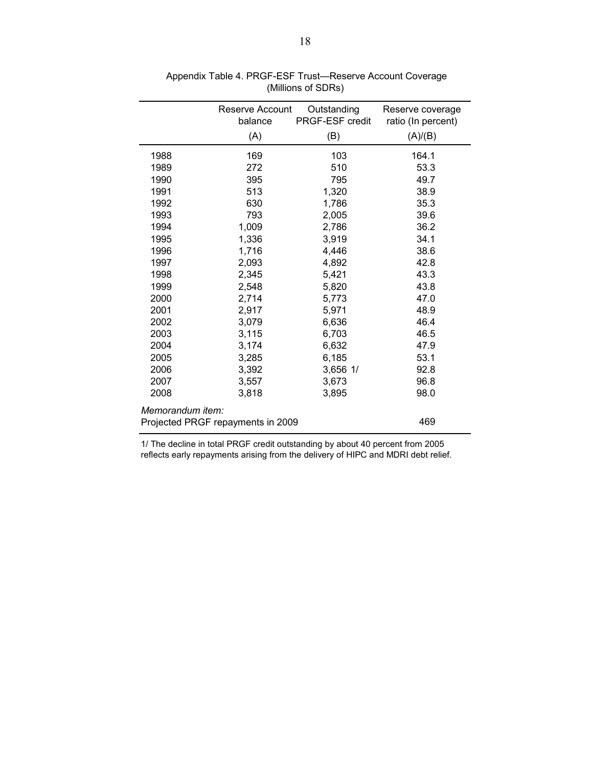|                  | Reserve Account<br>balance        | Outstanding<br>PRGF-ESF credit | Reserve coverage<br>ratio (In percent) |
|------------------|-----------------------------------|--------------------------------|----------------------------------------|
|                  | (A)                               | (B)                            | (A)/(B)                                |
| 1988             | 169                               | 103                            | 164.1                                  |
| 1989             | 272                               | 510                            | 53.3                                   |
| 1990             | 395                               | 795                            | 49.7                                   |
| 1991             | 513                               | 1,320                          | 38.9                                   |
| 1992             | 630                               | 1,786                          | 35.3                                   |
| 1993             | 793                               | 2,005                          | 39.6                                   |
| 1994             | 1,009                             | 2,786                          | 36.2                                   |
| 1995             | 1,336                             | 3,919                          | 34.1                                   |
| 1996             | 1,716                             | 4,446                          | 38.6                                   |
| 1997             | 2,093                             | 4,892                          | 42.8                                   |
| 1998             | 2,345                             | 5,421                          | 43.3                                   |
| 1999             | 2,548                             | 5,820                          | 43.8                                   |
| 2000             | 2,714                             | 5,773                          | 47.0                                   |
| 2001             | 2,917                             | 5,971                          | 48.9                                   |
| 2002             | 3,079                             | 6,636                          | 46.4                                   |
| 2003             | 3,115                             | 6,703                          | 46.5                                   |
| 2004             | 3,174                             | 6,632                          | 47.9                                   |
| 2005             | 3,285                             | 6,185                          | 53.1                                   |
| 2006             | 3,392                             | 3,656 1/                       | 92.8                                   |
| 2007             | 3,557                             | 3,673                          | 96.8                                   |
| 2008             | 3,818                             | 3,895                          | 98.0                                   |
| Memorandum item: |                                   |                                |                                        |
|                  | Projected PRGF repayments in 2009 |                                | 469                                    |

 Appendix Table 4. PRGF-ESF Trust—Reserve Account Coverage (Millions of SDRs)

1/ The decline in total PRGF credit outstanding by about 40 percent from 2005 reflects early repayments arising from the delivery of HIPC and MDRI debt relief.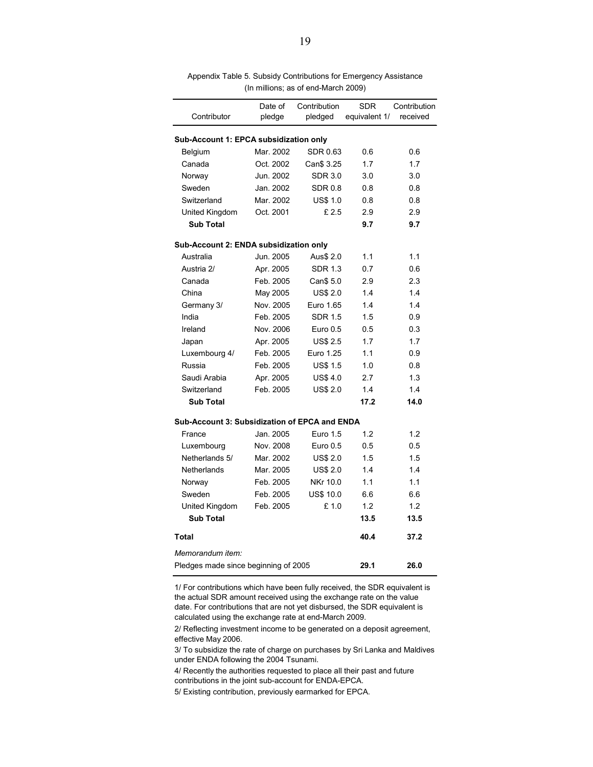| Contributor                                          | Date of<br>pledge | Contribution<br>pledged | <b>SDR</b><br>equivalent 1/ | Contribution<br>received |
|------------------------------------------------------|-------------------|-------------------------|-----------------------------|--------------------------|
| Sub-Account 1: EPCA subsidization only               |                   |                         |                             |                          |
| Belgium                                              | Mar. 2002         | SDR 0.63                | 0.6                         | 0.6                      |
| Canada                                               | Oct. 2002         | Can\$ 3.25              | 1.7                         | 1.7                      |
| Norway                                               | Jun. 2002         | <b>SDR 3.0</b>          | 3.0                         | 3.0                      |
| Sweden                                               | Jan. 2002         | <b>SDR 0.8</b>          | 0.8                         | 0.8                      |
| Switzerland                                          | Mar. 2002         | <b>US\$ 1.0</b>         | 0.8                         | 0.8                      |
| United Kingdom                                       | Oct. 2001         | £ 2.5                   | 2.9                         | 2.9                      |
| <b>Sub Total</b>                                     |                   |                         | 9.7                         | 9.7                      |
| Sub-Account 2: ENDA subsidization only               |                   |                         |                             |                          |
| Australia                                            | Jun. 2005         | Aus\$ 2.0               | 1.1                         | 1.1                      |
| Austria 2/                                           | Apr. 2005         | <b>SDR 1.3</b>          | 0.7                         | 0.6                      |
| Canada                                               | Feb. 2005         | Can\$ 5.0               | 2.9                         | 2.3                      |
| China                                                | May 2005          | <b>US\$ 2.0</b>         | 1.4                         | 1.4                      |
| Germany 3/                                           | Nov. 2005         | Euro 1.65               | 14                          | 1.4                      |
| India                                                | Feb. 2005         | SDR 1.5                 | 1.5                         | 0.9                      |
| Ireland                                              | Nov. 2006         | Euro 0.5                | 0.5                         | 0.3                      |
| Japan                                                | Apr. 2005         | <b>US\$ 2.5</b>         | 1.7                         | 1.7                      |
| Luxembourg 4/                                        | Feb. 2005         | Euro 1.25               | 1.1                         | 0.9                      |
| Russia                                               | Feb. 2005         | <b>US\$ 1.5</b>         | 1.0                         | 0.8                      |
| Saudi Arabia                                         | Apr. 2005         | <b>US\$4.0</b>          | 2.7                         | 1.3                      |
| Switzerland                                          | Feb. 2005         | <b>US\$ 2.0</b>         | 1.4                         | 14                       |
| <b>Sub Total</b>                                     |                   |                         | 17.2                        | 14.0                     |
| <b>Sub-Account 3: Subsidization of EPCA and ENDA</b> |                   |                         |                             |                          |
| France                                               | Jan. 2005         | Euro 1.5                | 1.2                         | 1.2                      |
| Luxembourg                                           | Nov. 2008         | Euro 0.5                | 0.5                         | 0.5                      |
| Netherlands 5/                                       | Mar. 2002         | <b>US\$ 2.0</b>         | 1.5                         | 1.5                      |
| Netherlands                                          | Mar. 2005         | <b>US\$ 2.0</b>         | 14                          | 1.4                      |
| Norway                                               | Feb. 2005         | NKr 10.0                | 1.1                         | 1.1                      |
| Sweden                                               | Feb. 2005         | <b>US\$ 10.0</b>        | 6.6                         | 6.6                      |
| United Kingdom                                       | Feb. 2005         | £1.0                    | 1.2                         | 1.2                      |
| <b>Sub Total</b>                                     |                   |                         | 13.5                        | 13.5                     |
| <b>Total</b>                                         |                   |                         | 40.4                        | 37.2                     |
| Memorandum item:                                     |                   |                         |                             |                          |
| Pledges made since beginning of 2005                 |                   |                         | 29.1                        | 26.0                     |

Appendix Table 5. Subsidy Contributions for Emergency Assistance (In millions; as of end-March 2009)

1/ For contributions which have been fully received, the SDR equivalent is the actual SDR amount received using the exchange rate on the value date. For contributions that are not yet disbursed, the SDR equivalent is calculated using the exchange rate at end-March 2009.

2/ Reflecting investment income to be generated on a deposit agreement, effective May 2006.

3/ To subsidize the rate of charge on purchases by Sri Lanka and Maldives under ENDA following the 2004 Tsunami.

4/ Recently the authorities requested to place all their past and future contributions in the joint sub-account for ENDA-EPCA.

5/ Existing contribution, previously earmarked for EPCA.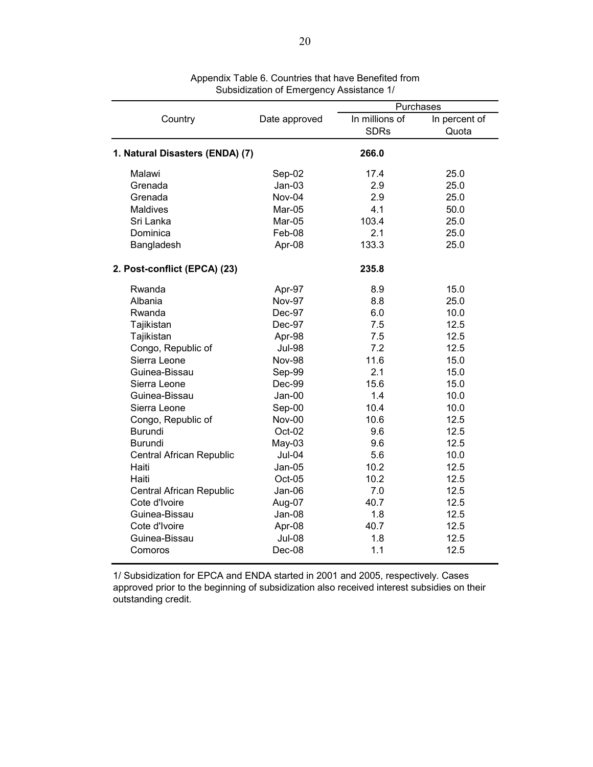|                                 |               | Purchases                     |                        |  |  |
|---------------------------------|---------------|-------------------------------|------------------------|--|--|
| Country                         | Date approved | In millions of<br><b>SDRs</b> | In percent of<br>Quota |  |  |
| 1. Natural Disasters (ENDA) (7) |               | 266.0                         |                        |  |  |
| Malawi                          | Sep-02        | 17.4                          | 25.0                   |  |  |
| Grenada                         | $Jan-03$      | 2.9                           | 25.0                   |  |  |
| Grenada                         | Nov-04        | 2.9                           | 25.0                   |  |  |
| <b>Maldives</b>                 | Mar-05        | 4.1                           | 50.0                   |  |  |
| Sri Lanka                       | Mar-05        | 103.4                         | 25.0                   |  |  |
| Dominica                        | Feb-08        | 2.1                           | 25.0                   |  |  |
| Bangladesh                      | Apr-08        | 133.3                         | 25.0                   |  |  |
| 2. Post-conflict (EPCA) (23)    |               | 235.8                         |                        |  |  |
| Rwanda                          | Apr-97        | 8.9                           | 15.0                   |  |  |
| Albania                         | <b>Nov-97</b> | 8.8                           | 25.0                   |  |  |
| Rwanda                          | Dec-97        | 6.0                           | 10.0                   |  |  |
| Tajikistan                      | Dec-97        | 7.5                           | 12.5                   |  |  |
| Tajikistan                      | Apr-98        | 7.5                           | 12.5                   |  |  |
| Congo, Republic of              | <b>Jul-98</b> | 7.2                           | 12.5                   |  |  |
| Sierra Leone                    | Nov-98        | 11.6                          | 15.0                   |  |  |
| Guinea-Bissau                   | Sep-99        | 2.1                           | 15.0                   |  |  |
| Sierra Leone                    | Dec-99        | 15.6                          | 15.0                   |  |  |
| Guinea-Bissau                   | Jan-00        | 1.4                           | 10.0                   |  |  |
| Sierra Leone                    | Sep-00        | 10.4                          | 10.0                   |  |  |
| Congo, Republic of              | Nov-00        | 10.6                          | 12.5                   |  |  |
| <b>Burundi</b>                  | Oct-02        | 9.6                           | 12.5                   |  |  |
| <b>Burundi</b>                  | May-03        | 9.6                           | 12.5                   |  |  |
| Central African Republic        | Jul-04        | 5.6                           | 10.0                   |  |  |
| Haiti                           | Jan-05        | 10.2                          | 12.5                   |  |  |
| Haiti                           | Oct-05        | 10.2                          | 12.5                   |  |  |
| Central African Republic        | Jan-06        | 7.0                           | 12.5                   |  |  |
| Cote d'Ivoire                   | Aug-07        | 40.7                          | 12.5                   |  |  |
| Guinea-Bissau                   | Jan-08        | 1.8                           | 12.5                   |  |  |
| Cote d'Ivoire                   | Apr-08        | 40.7                          | 12.5                   |  |  |
| Guinea-Bissau                   | <b>Jul-08</b> | 1.8                           | 12.5                   |  |  |
| Comoros                         | Dec-08        | 1.1                           | 12.5                   |  |  |

Appendix Table 6. Countries that have Benefited from Subsidization of Emergency Assistance 1/

1/ Subsidization for EPCA and ENDA started in 2001 and 2005, respectively. Cases approved prior to the beginning of subsidization also received interest subsidies on their outstanding credit.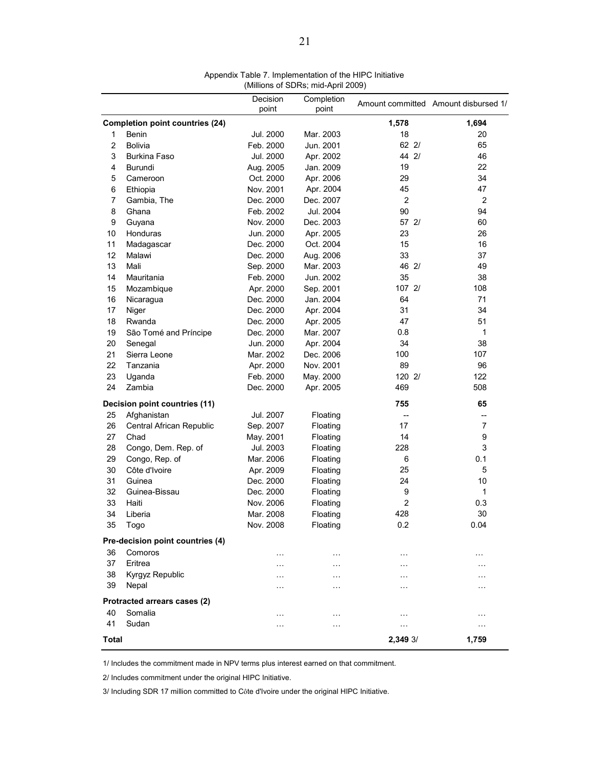|                |                                        | Decision<br>point | Completion<br>point    |                | Amount committed Amount disbursed 1/ |
|----------------|----------------------------------------|-------------------|------------------------|----------------|--------------------------------------|
|                | <b>Completion point countries (24)</b> |                   |                        | 1,578          | 1,694                                |
| 1              | Benin                                  | Jul. 2000         | Mar. 2003              | 18             | 20                                   |
| $\overline{2}$ | <b>Bolivia</b>                         | Feb. 2000         | Jun. 2001              | 622/           | 65                                   |
| 3              | <b>Burkina Faso</b>                    | Jul. 2000         | Apr. 2002              | 44 2/          | 46                                   |
| 4              | Burundi                                | Aug. 2005         | Jan. 2009              | 19             | 22                                   |
| 5              | Cameroon                               | Oct. 2000         | Apr. 2006              | 29             | 34                                   |
| 6              | Ethiopia                               | Nov. 2001         | Apr. 2004              | 45             | 47                                   |
| 7              | Gambia, The                            | Dec. 2000         | Dec. 2007              | $\overline{2}$ | $\overline{c}$                       |
| 8              | Ghana                                  | Feb. 2002         | Jul. 2004              | 90             | 94                                   |
| 9              | Guyana                                 | Nov. 2000         | Dec. 2003              | 57 2/          | 60                                   |
| 10             | Honduras                               | Jun. 2000         |                        | 23             | 26                                   |
| 11             |                                        | Dec. 2000         | Apr. 2005<br>Oct. 2004 | 15             | 16                                   |
| 12             | Madagascar<br>Malawi                   | Dec. 2000         |                        | 33             | 37                                   |
| 13             | Mali                                   |                   | Aug. 2006              | 46 2/          | 49                                   |
| 14             | Mauritania                             | Sep. 2000         | Mar. 2003              |                |                                      |
|                |                                        | Feb. 2000         | Jun. 2002              | 35             | 38                                   |
| 15             | Mozambique                             | Apr. 2000         | Sep. 2001              | 107 2/         | 108                                  |
| 16             | Nicaragua                              | Dec. 2000         | Jan. 2004              | 64             | 71                                   |
| 17             | Niger                                  | Dec. 2000         | Apr. 2004              | 31             | 34                                   |
| 18             | Rwanda                                 | Dec. 2000         | Apr. 2005              | 47             | 51                                   |
| 19             | São Tomé and Príncipe                  | Dec. 2000         | Mar. 2007              | 0.8            | 1                                    |
| 20             | Senegal                                | Jun. 2000         | Apr. 2004              | 34             | 38                                   |
| 21             | Sierra Leone                           | Mar. 2002         | Dec. 2006              | 100            | 107                                  |
| 22             | Tanzania                               | Apr. 2000         | Nov. 2001              | 89             | 96                                   |
| 23             | Uganda                                 | Feb. 2000         | May. 2000              | 120 2/         | 122                                  |
| 24             | Zambia                                 | Dec. 2000         | Apr. 2005              | 469            | 508                                  |
|                | Decision point countries (11)          |                   |                        | 755            | 65                                   |
| 25             | Afghanistan                            | Jul. 2007         | Floating               | $-$            | --                                   |
| 26             | Central African Republic               | Sep. 2007         | Floating               | 17             | $\overline{7}$                       |
| 27             | Chad                                   | May. 2001         | Floating               | 14             | 9                                    |
| 28             | Congo, Dem. Rep. of                    | Jul. 2003         | Floating               | 228            | 3                                    |
| 29             | Congo, Rep. of                         | Mar. 2006         | Floating               | 6              | 0.1                                  |
| 30             | Côte d'Ivoire                          | Apr. 2009         | Floating               | 25             | 5                                    |
| 31             | Guinea                                 | Dec. 2000         | Floating               | 24             | 10                                   |
| 32             | Guinea-Bissau                          | Dec. 2000         | Floating               | 9              | 1                                    |
| 33             | Haiti                                  | Nov. 2006         | Floating               | $\overline{2}$ | 0.3                                  |
| 34             | Liberia                                | Mar. 2008         | Floating               | 428            | 30                                   |
| 35             | Togo                                   | Nov. 2008         | Floating               | 0.2            | 0.04                                 |
|                | Pre-decision point countries (4)       |                   |                        |                |                                      |
| 36             | Comoros                                | $\cdots$          | $\cdots$               | $\cdots$       | $\cdots$                             |
| 37             | Eritrea                                | $\cdots$          | $\cdots$               | $\cdots$       | $\cdots$                             |
| 38             | Kyrgyz Republic                        |                   | .                      |                |                                      |
| 39             | Nepal                                  |                   | $\cdots$               | .              | .                                    |
|                | Protracted arrears cases (2)           |                   |                        |                |                                      |
| 40             | Somalia                                | $\cdots$          | $\cdots$               | $\cdots$       | $\cdots$                             |
| 41             | Sudan                                  | $\ddotsc$         | .                      |                | .                                    |
|                |                                        |                   |                        |                |                                      |
| <b>Total</b>   |                                        |                   |                        | 2,349 3/       | 1,759                                |

Appendix Table 7. Implementation of the HIPC Initiative (Millions of SDRs; mid-April 2009)

1/ Includes the commitment made in NPV terms plus interest earned on that commitment.

2/ Includes commitment under the original HIPC Initiative.

3/ Including SDR 17 million committed to Côte d'Ivoire under the original HIPC Initiative.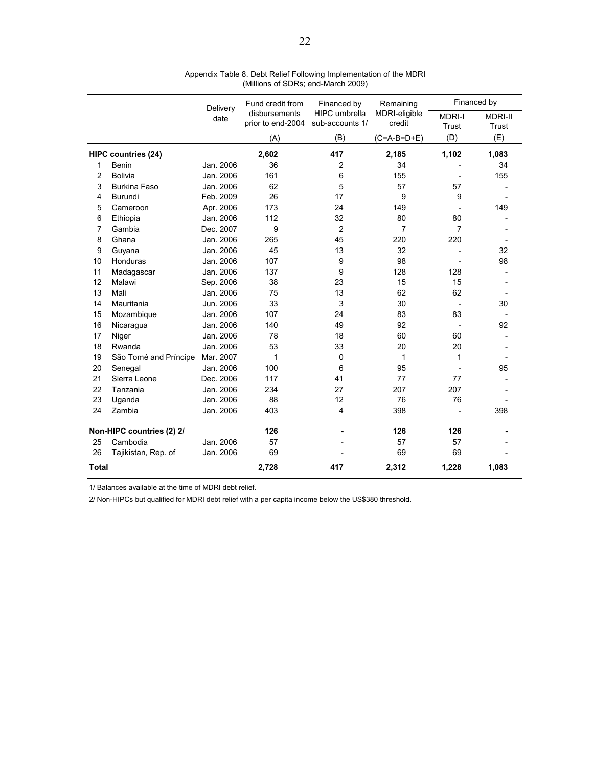|              |                            | Delivery  | Fund credit from                   | Financed by                             | Remaining               |                        | Financed by             |
|--------------|----------------------------|-----------|------------------------------------|-----------------------------------------|-------------------------|------------------------|-------------------------|
|              |                            | date      | disbursements<br>prior to end-2004 | <b>HIPC</b> umbrella<br>sub-accounts 1/ | MDRI-eligible<br>credit | <b>MDRI-I</b><br>Trust | <b>MDRI-II</b><br>Trust |
|              |                            |           | (A)                                | (B)                                     | $(C=A-B=D+E)$           | (D)                    | (E)                     |
|              | <b>HIPC countries (24)</b> |           | 2,602                              | 417                                     | 2,185                   | 1,102                  | 1,083                   |
| 1            | Benin                      | Jan. 2006 | 36                                 | 2                                       | 34                      |                        | 34                      |
| 2            | <b>Bolivia</b>             | Jan. 2006 | 161                                | 6                                       | 155                     |                        | 155                     |
| 3            | <b>Burkina Faso</b>        | Jan. 2006 | 62                                 | 5                                       | 57                      | 57                     |                         |
| 4            | Burundi                    | Feb. 2009 | 26                                 | 17                                      | 9                       | 9                      |                         |
| 5            | Cameroon                   | Apr. 2006 | 173                                | 24                                      | 149                     |                        | 149                     |
| 6            | Ethiopia                   | Jan. 2006 | 112                                | 32                                      | 80                      | 80                     |                         |
| 7            | Gambia                     | Dec. 2007 | 9                                  | $\overline{2}$                          | $\overline{7}$          | $\overline{7}$         |                         |
| 8            | Ghana                      | Jan. 2006 | 265                                | 45                                      | 220                     | 220                    |                         |
| 9            | Guyana                     | Jan. 2006 | 45                                 | 13                                      | 32                      |                        | 32                      |
| 10           | Honduras                   | Jan. 2006 | 107                                | 9                                       | 98                      |                        | 98                      |
| 11           | Madagascar                 | Jan. 2006 | 137                                | 9                                       | 128                     | 128                    |                         |
| 12           | Malawi                     | Sep. 2006 | 38                                 | 23                                      | 15                      | 15                     |                         |
| 13           | Mali                       | Jan. 2006 | 75                                 | 13                                      | 62                      | 62                     |                         |
| 14           | Mauritania                 | Jun. 2006 | 33                                 | 3                                       | 30                      |                        | 30                      |
| 15           | Mozambique                 | Jan. 2006 | 107                                | 24                                      | 83                      | 83                     |                         |
| 16           | Nicaragua                  | Jan. 2006 | 140                                | 49                                      | 92                      |                        | 92                      |
| 17           | Niger                      | Jan. 2006 | 78                                 | 18                                      | 60                      | 60                     |                         |
| 18           | Rwanda                     | Jan. 2006 | 53                                 | 33                                      | 20                      | 20                     |                         |
| 19           | São Tomé and Príncipe      | Mar. 2007 | 1                                  | 0                                       | 1                       | 1                      |                         |
| 20           | Senegal                    | Jan. 2006 | 100                                | 6                                       | 95                      |                        | 95                      |
| 21           | Sierra Leone               | Dec. 2006 | 117                                | 41                                      | 77                      | 77                     |                         |
| 22           | Tanzania                   | Jan. 2006 | 234                                | 27                                      | 207                     | 207                    |                         |
| 23           | Uganda                     | Jan. 2006 | 88                                 | 12                                      | 76                      | 76                     |                         |
| 24           | Zambia                     | Jan. 2006 | 403                                | 4                                       | 398                     |                        | 398                     |
|              | Non-HIPC countries (2) 2/  |           | 126                                |                                         | 126                     | 126                    |                         |
| 25           | Cambodia                   | Jan. 2006 | 57                                 |                                         | 57                      | 57                     |                         |
| 26           | Tajikistan, Rep. of        | Jan. 2006 | 69                                 |                                         | 69                      | 69                     |                         |
| <b>Total</b> |                            |           | 2,728                              | 417                                     | 2,312                   | 1,228                  | 1,083                   |

Appendix Table 8. Debt Relief Following Implementation of the MDRI (Millions of SDRs; end-March 2009)

1/ Balances available at the time of MDRI debt relief.

2/ Non-HIPCs but qualified for MDRI debt relief with a per capita income below the US\$380 threshold.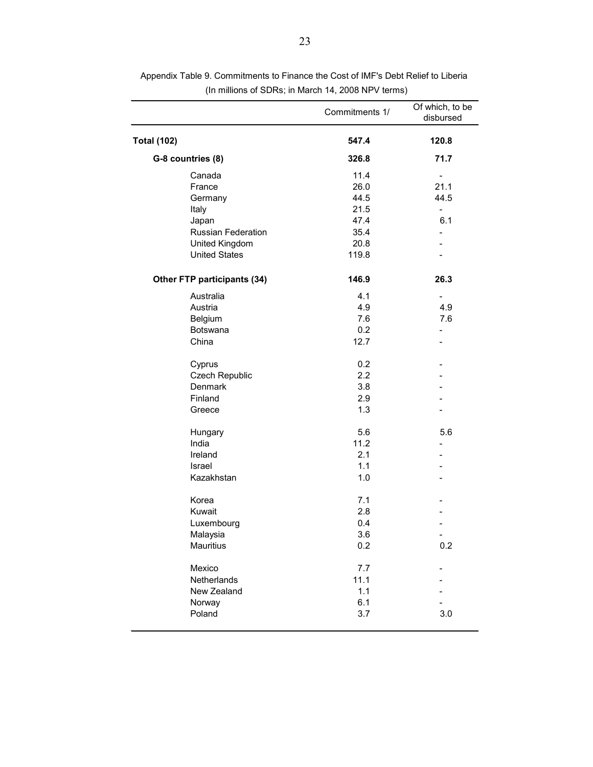|                             | Commitments 1/ | Of which, to be<br>disbursed |
|-----------------------------|----------------|------------------------------|
| <b>Total (102)</b>          | 547.4          | 120.8                        |
| G-8 countries (8)           | 326.8          | 71.7                         |
| Canada                      | 11.4           |                              |
| France                      | 26.0           | 21.1                         |
| Germany                     | 44.5           | 44.5                         |
| Italy                       | 21.5           | $\overline{\phantom{0}}$     |
| Japan                       | 47.4           | 6.1                          |
| <b>Russian Federation</b>   | 35.4           | $\overline{\phantom{a}}$     |
| United Kingdom              | 20.8           |                              |
| <b>United States</b>        | 119.8          |                              |
| Other FTP participants (34) | 146.9          | 26.3                         |
| Australia                   | 4.1            | $\qquad \qquad \blacksquare$ |
| Austria                     | 4.9            | 4.9                          |
| Belgium                     | 7.6            | 7.6                          |
| Botswana                    | 0.2            | $\overline{\phantom{a}}$     |
| China                       | 12.7           |                              |
| Cyprus                      | 0.2            |                              |
| Czech Republic              | 2.2            |                              |
| Denmark                     | 3.8            |                              |
| Finland                     | 2.9            |                              |
| Greece                      | 1.3            |                              |
| Hungary                     | 5.6            | 5.6                          |
| India                       | 11.2           |                              |
| Ireland                     | 2.1            |                              |
| Israel                      | 1.1            |                              |
| Kazakhstan                  | 1.0            |                              |
| Korea                       | 7.1            |                              |
| Kuwait                      | 2.8            |                              |
| Luxembourg                  | 0.4            |                              |
| Malaysia                    | 3.6            | $\overline{\phantom{0}}$     |
| <b>Mauritius</b>            | 0.2            | 0.2                          |
| Mexico                      | 7.7            |                              |
| Netherlands                 | 11.1           |                              |
| New Zealand                 | 1.1            |                              |
| Norway                      | 6.1            |                              |
| Poland                      | 3.7            | 3.0                          |
|                             |                |                              |

Appendix Table 9. Commitments to Finance the Cost of IMF's Debt Relief to Liberia (In millions of SDRs; in March 14, 2008 NPV terms)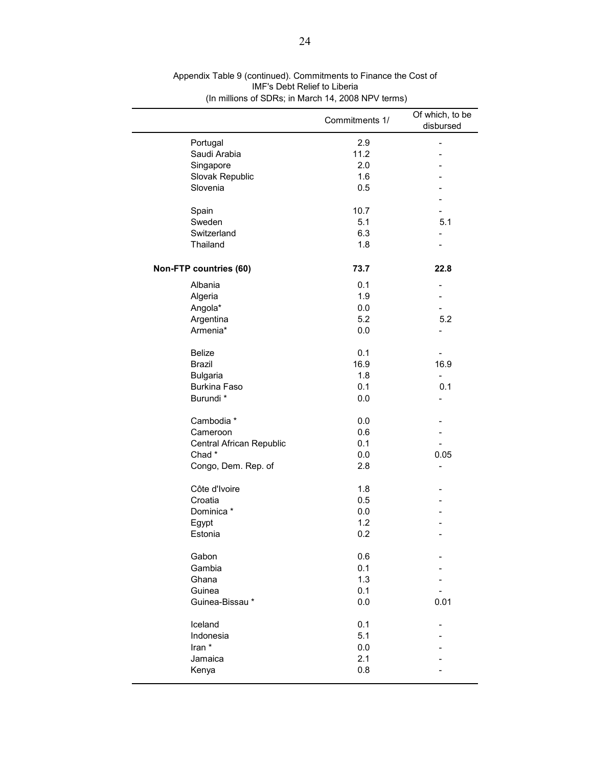|                          | Commitments 1/ | Of which, to be<br>disbursed |
|--------------------------|----------------|------------------------------|
| Portugal                 | 2.9            | $\overline{\phantom{0}}$     |
| Saudi Arabia             | 11.2           |                              |
| Singapore                | 2.0            |                              |
| Slovak Republic          | 1.6            |                              |
| Slovenia                 | 0.5            |                              |
|                          |                |                              |
| Spain                    | 10.7           |                              |
| Sweden                   | 5.1            | 5.1                          |
| Switzerland              | 6.3            |                              |
| Thailand                 | 1.8            |                              |
| Non-FTP countries (60)   | 73.7           | 22.8                         |
| Albania                  | 0.1            |                              |
| Algeria                  | 1.9            |                              |
| Angola*                  | 0.0            |                              |
| Argentina                | 5.2            | 5.2                          |
| Armenia*                 | 0.0            |                              |
| <b>Belize</b>            | 0.1            |                              |
| <b>Brazil</b>            | 16.9           | 16.9                         |
| <b>Bulgaria</b>          | 1.8            | $\qquad \qquad -$            |
| <b>Burkina Faso</b>      | 0.1            | 0.1                          |
| Burundi *                | 0.0            |                              |
| Cambodia *               | 0.0            |                              |
| Cameroon                 | 0.6            |                              |
| Central African Republic | 0.1            |                              |
| Chad*                    | 0.0            | 0.05                         |
| Congo, Dem. Rep. of      | 2.8            |                              |
| Côte d'Ivoire            | 1.8            |                              |
| Croatia                  | 0.5            |                              |
| Dominica *               | 0.0            |                              |
| Egypt                    | 1.2            |                              |
| Estonia                  | 0.2            |                              |
| Gabon                    | 0.6            |                              |
| Gambia                   | 0.1            |                              |
| Ghana                    | 1.3            |                              |
| Guinea                   | 0.1            |                              |
| Guinea-Bissau*           | 0.0            | 0.01                         |
| Iceland                  | 0.1            |                              |
| Indonesia                | 5.1            |                              |
| Iran *                   | 0.0            |                              |
| Jamaica                  | 2.1            |                              |
| Kenya                    | 0.8            |                              |
|                          |                |                              |

Appendix Table 9 (continued). Commitments to Finance the Cost of IMF's Debt Relief to Liberia (In millions of SDRs; in March 14, 2008 NPV terms)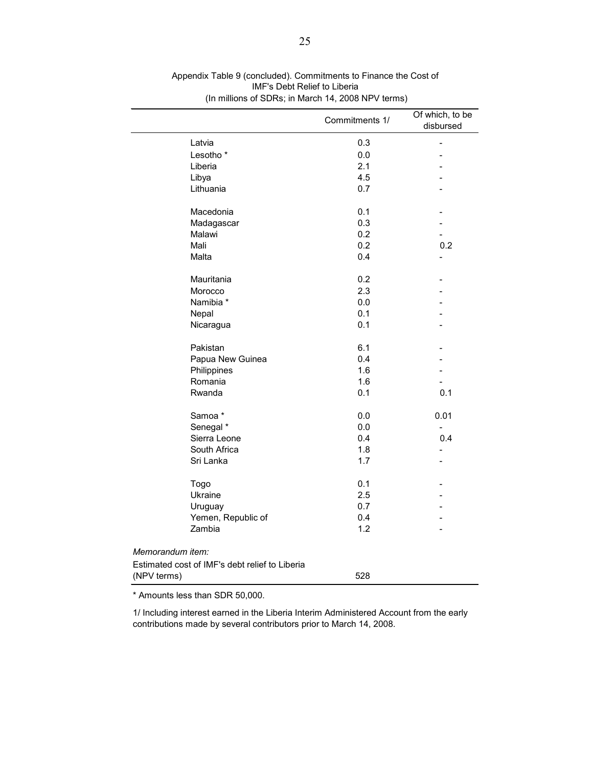|                                                | Commitments 1/ | Of which, to be<br>disbursed |
|------------------------------------------------|----------------|------------------------------|
| Latvia                                         | 0.3            |                              |
| Lesotho <sup>*</sup>                           | 0.0            |                              |
| Liberia                                        | 2.1            |                              |
| Libya                                          | 4.5            |                              |
| Lithuania                                      | 0.7            |                              |
| Macedonia                                      | 0.1            |                              |
| Madagascar                                     | 0.3            |                              |
| Malawi                                         | 0.2            |                              |
| Mali                                           | 0.2            | 0.2                          |
| Malta                                          | 0.4            | $\overline{\phantom{0}}$     |
| Mauritania                                     | 0.2            |                              |
| Morocco                                        | 2.3            |                              |
| Namibia *                                      | 0.0            |                              |
| Nepal                                          | 0.1            |                              |
| Nicaragua                                      | 0.1            |                              |
| Pakistan                                       | 6.1            |                              |
| Papua New Guinea                               | 0.4            |                              |
| Philippines                                    | 1.6            |                              |
| Romania                                        | 1.6            |                              |
| Rwanda                                         | 0.1            | 0.1                          |
| Samoa*                                         | 0.0            | 0.01                         |
| Senegal *                                      | 0.0            |                              |
| Sierra Leone                                   | 0.4            | 0.4                          |
| South Africa                                   | 1.8            |                              |
| Sri Lanka                                      | 1.7            |                              |
| Togo                                           | 0.1            |                              |
| Ukraine                                        | 2.5            |                              |
| Uruguay                                        | 0.7            |                              |
| Yemen, Republic of                             | 0.4            |                              |
| Zambia                                         | 1.2            |                              |
| Memorandum item:                               |                |                              |
| Estimated cost of IMF's debt relief to Liberia |                |                              |
| (NPV terms)                                    | 528            |                              |

Appendix Table 9 (concluded). Commitments to Finance the Cost of IMF's Debt Relief to Liberia (In millions of SDRs; in March 14, 2008 NPV terms)

\* Amounts less than SDR 50,000.

1/ Including interest earned in the Liberia Interim Administered Account from the early contributions made by several contributors prior to March 14, 2008.